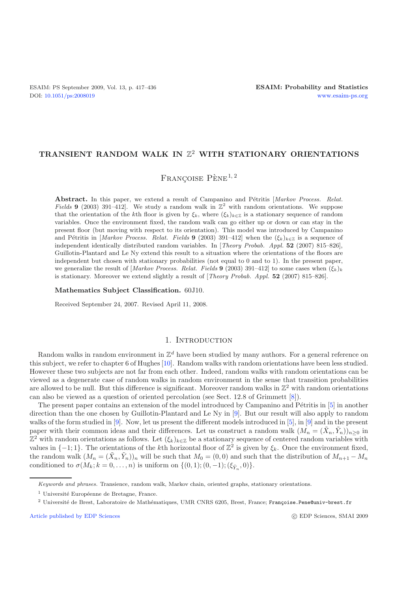## **TRANSIENT RANDOM WALK IN** Z<sup>2</sup> **WITH STATIONARY ORIENTATIONS**

FRANCOISE PÈNE<sup>1, 2</sup>

Abstract. In this paper, we extend a result of Campanino and Pétritis [*Markov Process. Relat. Fields* **9** (2003) 391–412]. We study a random walk in  $\mathbb{Z}^2$  with random orientations. We suppose that the orientation of the kth floor is given by  $\xi_k$ , where  $(\xi_k)_{k\in\mathbb{Z}}$  is a stationary sequence of random variables. Once the environment fixed, the random walk can go either up or down or can stay in the present floor (but moving with respect to its orientation). This model was introduced by Campanino and Pétritis in [*Markov Process. Relat. Fields* **9** (2003) 391–412] when the  $(\xi_k)_{k \in \mathbb{Z}}$  is a sequence of independent identically distributed random variables. In [*Theory Probab. Appl.* **52** (2007) 815–826], Guillotin-Plantard and Le Ny extend this result to a situation where the orientations of the floors are independent but chosen with stationary probabilities (not equal to 0 and to 1). In the present paper, we generalize the result of  $\left[Markov\ Process\$ . Relat. Fields 9 (2003) 391–412 to some cases when  $(\xi_k)_k$ is stationary. Moreover we extend slightly a result of [*Theory Probab. Appl.* **52** (2007) 815–826].

**Mathematics Subject Classification.** 60J10.

Received September 24, 2007. Revised April 11, 2008.

## 1. INTRODUCTION

Random walks in random environment in  $\mathbb{Z}^d$  have been studied by many authors. For a general reference on this subject, we refer to chapter 6 of Hughes [\[10\]](#page-18-0). Random walks with random orientations have been less studied. However these two subjects are not far from each other. Indeed, random walks with random orientations can be viewed as a degenerate case of random walks in random environment in the sense that transition probabilities are allowed to be null. But this difference is significant. Moreover random walks in  $\mathbb{Z}^2$  with random orientations can also be viewed as a question of oriented percolation (see Sect. 12.8 of Grimmett [\[8](#page-18-1)]).

The present paper contains an extension of the model introduced by Campanino and Pétritis in  $[5]$  $[5]$  in another direction than the one chosen by Guillotin-Plantard and Le Ny in [\[9\]](#page-18-3). But our result will also apply to random walks of the form studied in [\[9](#page-18-3)]. Now, let us present the different models introduced in [\[5](#page-18-2)], in [\[9\]](#page-18-3) and in the present paper with their common ideas and their differences. Let us construct a random walk  $(M_n = (\tilde{X}_n, \tilde{Y}_n))_{n>0}$  in  $\mathbb{Z}^2$  with random orientations as follows. Let  $(\xi_k)_{k\in\mathbb{Z}}$  be a stationary sequence of centered random variables with values in  $\{-1, 1\}$ . The orientations of the kth horizontal floor of  $\mathbb{Z}^2$  is given by  $\xi_k$ . Once the environment fixed, the random walk  $(M_n = (\tilde{X}_n, \tilde{Y}_n))_n$  will be such that  $M_0 = (0, 0)$  and such that the distribution of  $M_{n+1} - M_n$ conditioned to  $\sigma(M_k; k = 0, ..., n)$  is uniform on  $\{(0, 1); (0, -1); (\xi_{\tilde{Y}_n}, 0)\}.$ 

[Article published by EDP Sciences](http://www.edpsciences.org)

*Keywords and phrases.* Transience, random walk, Markov chain, oriented graphs, stationary orientations.

<sup>&</sup>lt;sup>1</sup> Université Européenne de Bretagne, France.

<sup>&</sup>lt;sup>2</sup> Université de Brest, Laboratoire de Mathématiques, UMR CNRS 6205, Brest, France; Françoise.Pene@univ-brest.fr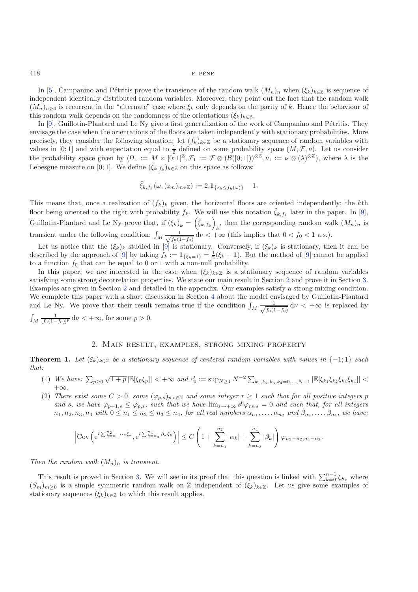In [\[5](#page-18-2)], Campanino and Pétritis prove the transience of the random walk  $(M_n)_n$  when  $(\xi_k)_{k\in\mathbb{Z}}$  is sequence of independent identically distributed random variables. Moreover, they point out the fact that the random walk  $(M_n)_{n>0}$  is recurrent in the "alternate" case where  $\xi_k$  only depends on the parity of k. Hence the behaviour of this random walk depends on the randomness of the orientations  $(\xi_k)_{k\in\mathbb{Z}}$ .

In  $[9]$  $[9]$ , Guillotin-Plantard and Le Ny give a first generalization of the work of Campanino and Pétritis. They envisage the case when the orientations of the floors are taken independently with stationary probabilities. More precisely, they consider the following situation: let  $(f_k)_{k\in\mathbb{Z}}$  be a stationary sequence of random variables with values in [0; 1] and with expectation equal to  $\frac{1}{2}$  defined on some probability space  $(M, \mathcal{F}, \nu)$ . Let us consider the probability space given by  $(\Omega_1 := M \times [0,1]^{\mathbb{Z}}, \mathcal{F}_1 := \mathcal{F} \otimes (\mathcal{B}([0,1]))^{\otimes \mathbb{Z}}, \nu_1 := \nu \otimes (\lambda)^{\otimes \mathbb{Z}}$ , where  $\lambda$  is the Lebesgue measure on [0; 1]. We define  $(\tilde{\xi}_{k,f_k})_{k\in\mathbb{Z}}$  on this space as follows:

$$
\tilde{\xi}_{k,f_k}(\omega,(z_m)_{m\in\mathbb{Z}}):=2.\mathbf{1}_{\{z_k\leq f_k(\omega)\}}-1.
$$

This means that, once a realization of  $(f_k)_k$  given, the horizontal floors are oriented independently; the kth floor being oriented to the right with probability  $f_k$ . We will use this notation  $\tilde{\xi}_{k,f_k}$  later in the paper. In [\[9\]](#page-18-3), Guillotin-Plantard and Le Ny prove that, if  $(\xi_k)_k = (\tilde{\xi}_{k,f_k})$  $\kappa$ , then the corresponding random walk  $(M_n)_n$  is transient under the following condition:  $\int_M \frac{1}{\sqrt{f_0(1)}}$  $\frac{1}{f_0(1-f_0)}$  d $\nu < +\infty$  (this implies that  $0 < f_0 < 1$  a.s.).

Let us notice that the  $(\xi_k)_k$  studied in [\[9\]](#page-18-3) is stationary. Conversely, if  $(\xi_k)_k$  is stationary, then it can be described by the approach of [\[9\]](#page-18-3) by taking  $f_k := \mathbf{1}_{\{\xi_k=1\}} = \frac{1}{2}(\xi_k + 1)$ . But the method of [9] cannot be applied to a function  $f_0$  that can be equal to 0 or 1 with a non-null probability.

In this paper, we are interested in the case when  $(\xi_k)_{k\in\mathbb{Z}}$  is a stationary sequence of random variables satisfying some strong decorrelation properties. We state our main result in Section [2](#page-1-0) and prove it in Section [3.](#page-3-0) Examples are given in Section [2](#page-1-0) and detailed in the appendix. Our examples satisfy a strong mixing condition. We complete this paper with a short discussion in Section [4](#page-13-0) about the model envisaged by Guillotin-Plantard and Le Ny. We prove that their result remains true if the condition  $\int_M \frac{1}{\sqrt{f_0(1)}}$  $\frac{1}{f_0(1-f_0)}$  d $\nu < +\infty$  is replaced by  $\int_M \frac{1}{[f_0(1-f_0)]^p} d\nu < +\infty$ , for some  $p > 0$ .

## 2. Main result, examples, strong mixing property

<span id="page-1-1"></span><span id="page-1-0"></span>**Theorem 1.** *Let*  $(\xi_k)_{k\in\mathbb{Z}}$  *be a stationary sequence of centered random variables with values in*  $\{-1,1\}$  *such that:*

- (1) *We have:*  $\sum_{p\geq 0} \sqrt{1+p} |\mathbb{E}[\xi_0 \xi_p]| < +\infty$  and  $c'_0 := \sup_{N\geq 1} N^{-2} \sum_{k_1,k_2,k_3,k_4=0,\dots,N-1} |\mathbb{E}[\xi_{k_1} \xi_{k_2} \xi_{k_3} \xi_{k_4}]| <$ +∞.
- (2) *There exist some*  $C > 0$ *, some*  $(\varphi_{p,s})_{p,s\in\mathbb{N}}$  *and some integer*  $r \geq 1$  *such that for all positive integers* p *and* s, we have  $\varphi_{p+1,s} \leq \varphi_{p,s}$ , such that we have  $\lim_{s\to+\infty} s^6 \varphi_{rs,s} = 0$  and such that, for all integers  $n_1, n_2, n_3, n_4$  with  $0 \leq n_1 \leq n_2 \leq n_3 \leq n_4$ , for all real numbers  $\alpha_{n_1}, \ldots, \alpha_{n_2}$  and  $\beta_{n_3}, \ldots, \beta_{n_4}$ , we have:

$$
\left| \text{Cov}\left(e^{i\sum_{k=n_1}^{n_2} \alpha_k \xi_k}, e^{i\sum_{k=n_3}^{n_4} \beta_k \xi_k}\right) \right| \le C \left(1 + \sum_{k=n_1}^{n_2} |\alpha_k| + \sum_{k=n_3}^{n_4} |\beta_k| \right) \varphi_{n_3 - n_2, n_4 - n_3}.
$$

*Then the random walk*  $(M_n)_n$  *is transient.* 

<span id="page-1-2"></span>This result is proved in Section [3.](#page-3-0) We will see in its proof that this question is linked with  $\sum_{k=0}^{n-1} \xi_{S_k}$  where  $(S_m)_{m>0}$  is a simple symmetric random walk on Z independent of  $(\xi_k)_{k\in\mathbb{Z}}$ . Let us give some examples of stationary sequences  $(\xi_k)_{k \in \mathbb{Z}}$  to which this result applies.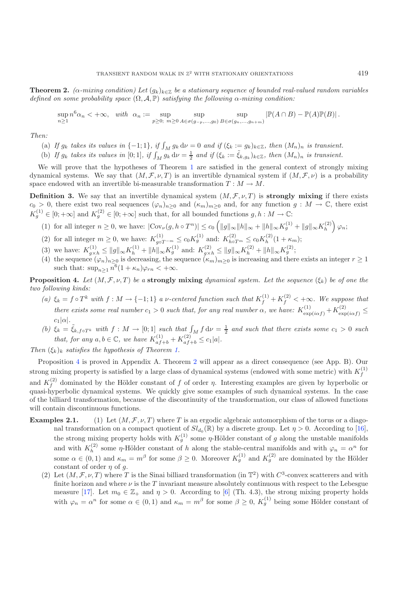**Theorem 2.** *(* $\alpha$ *-mixing condition)* Let  $(g_k)_{k \in \mathbb{Z}}$  *be a stationary sequence of bounded real-valued random variables defined on some probability space*  $(\Omega, \mathcal{A}, \mathbb{P})$  *satisfying the following*  $\alpha$ *-mixing condition:* 

 $\sup_{n\geq 1} n^6 \alpha_n < +\infty$ , with  $\alpha_n := \sup_{p\geq 0; m\geq 0} \sup_{A \in \sigma(g_{-p})}$  $A \in \sigma(g_{-p},...,g_0)$ sup  $B \in \sigma(g_n, \ldots, g_{n+m})$  $|\mathbb{P}(A \cap B) - \mathbb{P}(A)\mathbb{P}(B)|$ .

*Then:*

- (a) If  $g_k$  takes its values in  $\{-1, 1\}$ , if  $\int_M g_k d\nu = 0$  and if  $(\xi_k := g_k)_{k \in \mathbb{Z}}$ , then  $(M_n)_n$  is transient.
- (b) If  $g_k$  takes its values in [0; 1], if  $\int_M g_k d\nu = \frac{1}{2}$  and if  $(\xi_k := \tilde{\xi}_{k,g_k})_{k \in \mathbb{Z}}$ , then  $(M_n)_n$  is transient.

We will prove that the hypotheses of Theorem [1](#page-1-1) are satisfied in the general context of strongly mixing dynamical systems. We say that  $(M, \mathcal{F}, \nu, T)$  is an invertible dynamical system if  $(M, \mathcal{F}, \nu)$  is a probability space endowed with an invertible bi-measurable transformation  $T : M \to M$ .

<span id="page-2-1"></span>**Definition 3.** We say that an invertible dynamical system  $(M, \mathcal{F}, \nu, T)$  is **strongly mixing** if there exists  $c_0 > 0$ , there exist two real sequences  $(\varphi_n)_{n\geq 0}$  and  $(\kappa_m)_{m\geq 0}$  and, for any function  $g : M \to \mathbb{C}$ , there exist  $K_g^{(1)} \in [0; +\infty]$  and  $K_g^{(2)} \in [0; +\infty]$  such that, for all bounded functions  $g, h: M \to \mathbb{C}$ :

- (1) for all integer  $n \geq 0$ , we have:  $|\text{Cov}_{\nu}(g, h \circ T^n)| \leq c_0 \left( ||g||_{\infty} ||h||_{\infty} + ||h||_{\infty} K_g^{(1)} + ||g||_{\infty} K_h^{(2)} \right) \varphi_n;$
- (2) for all integer  $m \ge 0$ , we have:  $K_{g \circ T^{-m}}^{(1)} \le c_0 K_g^{(1)}$  and:  $K_{h \circ T^m}^{(2)} \le c_0 K_h^{(2)} (1 + \kappa_m)$ ;
- (3) we have:  $K_{g\times h}^{(1)} \le ||g||_{\infty} K_h^{(1)} + ||h||_{\infty} K_g^{(1)}$  and:  $K_{g\times h}^{(2)} \le ||g||_{\infty} K_h^{(2)} + ||h||_{\infty} K_g^{(2)}$ ;
- (4) the sequence  $(\varphi_n)_{n\geq 0}$  is decreasing, the sequence  $(\kappa_m)_{m\geq 0}$  is increasing and there exists an integer  $r\geq 1$ such that:  $\sup_{n>1} n^6(1+\kappa_n)\varphi_{rn} < +\infty$ .

<span id="page-2-0"></span>**Proposition 4.** *Let*  $(M, \mathcal{F}, \nu, T)$  *be a* **strongly mixing** *dynamical system. Let the sequence*  $(\xi_k)$  *be of one the two following kinds:*

- (a)  $\xi_k = f \circ T^k$  *with*  $f : M \to \{-1, 1\}$  a *v*-centered function such that  $K_f^{(1)} + K_f^{(2)} < +\infty$ . We suppose that *there exists some real number*  $c_1 > 0$  *such that, for any real number*  $\alpha$ , we have:  $K_{\exp(i\alpha f)}^{(1)} + K_{\exp(i\alpha f)}^{(2)} \leq$  $c_1|\alpha|$ *.*
- (b)  $\xi_k = \tilde{\xi}_{k, f \circ T^k}$  with  $f : M \to [0, 1]$  such that  $\int_M f d\nu = \frac{1}{2}$  and such that there exists some  $c_1 > 0$  such *that, for any*  $a, b \in \mathbb{C}$ *, we have*  $K_{af+b}^{(1)} + K_{af+b}^{(2)} \le c_1 |a|$ *.*

*Then*  $(\xi_k)_k$  *satisfies the hypothesis of Theorem [1.](#page-1-1)* 

Proposition [4](#page-2-0) is proved in Appendix A. Theorem [2](#page-1-2) will appear as a direct consequence (see App. B). Our strong mixing property is satisfied by a large class of dynamical systems (endowed with some metric) with  $K_f^{(1)}$ and  $K_f^{(2)}$  dominated by the Hölder constant of f of order  $\eta$ . Interesting examples are given by hyperbolic or quasi-hyperbolic dynamical systems. We quickly give some examples of such dynamical systems. In the case of the billiard transformation, because of the discontinuity of the transformation, our class of allowed functions will contain discontinuous functions.

- <span id="page-2-2"></span>**Examples 2.1.** (1) Let  $(M, \mathcal{F}, \nu, T)$  where T is an ergodic algebraic automorphism of the torus or a diagonal transformation on a compact quotient of  $Sl_{d_0}(\mathbb{R})$  by a discrete group. Let  $\eta > 0$ . According to [\[16\]](#page-19-0), the strong mixing property holds with  $K_g^{(1)}$  some  $\eta$ -Hölder constant of g along the unstable manifolds and with  $K_h^{(2)}$  some  $\eta$ -Hölder constant of h along the stable-central manifolds and with  $\varphi_n = \alpha^n$  for some  $\alpha \in (0,1)$  and  $\kappa_m = m^{\beta}$  for some  $\beta \geq 0$ . Moreover  $K_g^{(1)}$  and  $K_g^{(2)}$  are dominated by the Hölder constant of order  $\eta$  of  $q$ .
	- (2) Let  $(M, \mathcal{F}, \nu, T)$  where T is the Sinai billiard transformation (in  $\mathbb{T}^2$ ) with  $C^3$ -convex scatterers and with finite horizon and where  $\nu$  is the T invariant measure absolutely continuous with respect to the Lebesgue measure [\[17\]](#page-19-1). Let  $m_0 \in \mathbb{Z}_+$  and  $\eta > 0$ . According to [\[6\]](#page-18-4) (Th. 4.3), the strong mixing property holds with  $\varphi_n = \alpha^n$  for some  $\alpha \in (0,1)$  and  $\kappa_m = m^{\beta}$  for some  $\beta \geq 0$ ,  $K_g^{(1)}$  being some Hölder constant of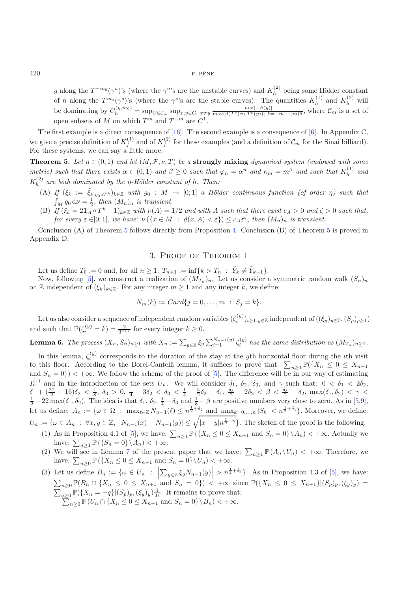g along the  $T^{-m_0}(\gamma^u)$ 's (where the  $\gamma^u$ 's are the unstable curves) and  $K_h^{(2)}$  being some Hölder constant of h along the  $T^{m_0}(\gamma^s)$ 's (where the  $\gamma^s$ 's are the stable curves). The quantities  $K_h^{(1)}$  and  $K_h^{(2)}$  will be dominating by  $C_h^{(\eta,m_0)} = \sup_{C \in \mathcal{C}_m} \sup_{x,y \in C, x \neq y} \frac{|h(x)-h(y)|}{\max(d(T^k(x),T^k(y)); k=-m,\dots,m)^{\eta}}$ , where  $\mathcal{C}_m$  is a set of open subsets of M on which  $T^m$  and  $T^{-m}$  are  $C^1$ .

The first example is a direct consequence of [\[16](#page-19-0)]. The second example is a consequence of [\[6](#page-18-4)]. In Appendix C, we give a precise definition of  $K_f^{(1)}$  and of  $K_f^{(2)}$  for these examples (and a definition of  $\mathcal{C}_m$  for the Sinai billiard). For these systems, we can say a little more:

<span id="page-3-1"></span>**Theorem 5.** *Let*  $\eta \in (0,1)$  *and let*  $(M,\mathcal{F},\nu,T)$  *be a* **strongly mixing** *dynamical system (endowed with some metric)* such that there exists  $\alpha \in (0,1)$  and  $\beta \geq 0$  such that  $\varphi_n = \alpha^n$  and  $\kappa_m = m^{\beta}$  and such that  $K_h^{(1)}$  and  $K_h^{(2)}$  are both dominated by the  $\eta$ -Hölder constant of h. Then:

- (A) *If*  $(\xi_k := \tilde{\xi}_{k, g_0 \circ T^k})_{k \in \mathbb{Z}}$  *with*  $g_0 : M \to [0; 1]$  *a Hölder continuous function (of order*  $\eta$ *) such that*  $\int_M g_0 \, \mathrm{d}\nu = \frac{1}{2}$ , then  $(M_n)_n$  is transient.
- (B) If  $(\xi_k = 2\mathbf{1}_A \circ T^k 1)_{k \in \mathbb{Z}}$  with  $\nu(A) = 1/2$  and with A such that there exist  $c_A > 0$  and  $\zeta > 0$  such that, *for every*  $\varepsilon \in ]0;1[$ *, we have:*  $\nu({x \in M : d(x, A) < \varepsilon}) \le c_A \varepsilon^{\zeta}$ *, then*  $(M_n)_n$  *is transient.*

<span id="page-3-0"></span>Conclusion (A) of Theorem [5](#page-3-1) follows directly from Proposition [4.](#page-2-0) Conclusion (B) of Theorem [5](#page-3-1) is proved in Appendix D.

## 3. Proof of Theorem [1](#page-1-1)

Let us define  $T_0 := 0$  and, for all  $n \geq 1$ :  $T_{n+1} := \inf\{k > T_n : \tilde{Y}_k \neq \tilde{Y}_{k-1}\}.$ 

Now, following [\[5](#page-18-2)], we construct a realization of  $(M_{T_n})_n$ . Let us consider a symmetric random walk  $(S_n)_n$ on Z independent of  $(\xi_k)_{k\in\mathbb{Z}}$ . For any integer  $m\geq 1$  and any integer k, we define:

$$
N_m(k) := Card\{j = 0, ..., m : S_j = k\}.
$$

Let us also consider a sequence of independent random variables  $(\zeta_i^{(y)})_{i\geq 1,y\in\mathbb{Z}}$  independent of  $((\xi_y)_{y\in\mathbb{Z}},(S_p)_{p\geq 1})$ and such that  $\mathbb{P}(\zeta_i^{(y)}=k)=\frac{2}{3^{k+1}}$  for every integer  $k\geq 0$ .

**Lemma 6.** *The process*  $(X_n, S_n)_{n \geq 1}$  *with*  $X_n := \sum_{y \in \mathbb{Z}} \xi_y \sum_{i=1}^{N_{n-1}(y)} \zeta_i^{(y)}$  *has the same distribution as*  $(M_{T_n})_{n \geq 1}$ *.* 

In this lemma,  $\zeta_i^{(y)}$  corresponds to the duration of the stay at the yth horizontal floor during the *i*th visit to this floor. According to the Borel-Cantelli lemma, it suffices to prove that:  $\sum_{n\geq 1} \mathbb{P}(\{X_n \leq 0 \leq X_{n+1}\})$ and  $S_n = 0$ ) < + $\infty$ . We follow the scheme of the proof of [\[5\]](#page-18-2). The difference will be in our way of estimating  $I_n^{(1)}$  and in the introduction of the sets  $U_n$ . We will consider  $\delta_1$ ,  $\delta_2$ ,  $\delta_3$ , and  $\gamma$  such that:  $0 < \delta_1 < 2\delta_2$ ,  $\delta_1 + (\frac{27}{2} + 16)\delta_2 < \frac{1}{8}$ ,  $\delta_3 > 0$ ,  $\frac{1}{4} - 3\delta_2 < \delta_3 < \frac{1}{4} - \frac{5}{2}\delta_2 - \delta_1$ ,  $\frac{\delta_3}{2} - 2\delta_2 < \beta < \frac{\delta_3}{2} - \delta_2$ ,  $\max(\delta_1, \delta_2) < \gamma < \frac{1}{2} - 22 \max(\delta_1, \delta_2)$ . The idea is that  $\delta_1$ ,  $\delta_2$ ,  $\frac{1}{4} - \delta_3$  a let us define:  $A_n := \{ \omega \in \Omega : \max_{\ell \in \mathbb{Z}} N_{n-1}(\ell) \leq n^{\frac{1}{2} + \delta_2} \text{ and } \max_{k=0,\dots,n} |S_k| < n^{\frac{1}{2} + \delta_1} \}.$  Moreover, we define:

 $U_n := \{ \omega \in A_n : \ \forall x, y \in \mathbb{Z}, \ |N_{n-1}(x) - N_{n-1}(y)| \leq \sqrt{|x-y|n^{\frac{1}{2}+\gamma}} \}.$  The sketch of the proof is the following:

- (1) As in Proposition 4.1 of [\[5\]](#page-18-2), we have:  $\sum_{n\geq 1} \mathbb{P}(\lbrace X_n \leq 0 \leq X_{n+1} \text{ and } S_n = 0 \rbrace \setminus A_n) < +\infty$ . Actually we have:  $\sum_{n\geq 1} \mathbb{P}(\{S_n = 0\} \setminus A_n) < +\infty$ .
- (2) We will see in Lemma [7](#page-4-0) of the present paper that we have:  $\sum_{n\geq 1} \mathbb{P}(A_n \setminus U_n) < +\infty$ . Therefore, we have:  $\sum_{n\geq 0} \mathbb{P}(\lbrace X_n \leq 0 \leq X_{n+1} \text{ and } S_n = 0 \rbrace \setminus U_n) < +\infty.$
- (3) Let us define  $B_n := \{ \omega \in U_n :$  $\sum_{y\in\mathbb{Z}}\xi_{y}N_{n-1}(y)\bigg|_{\mathcal{L}}$  $> n^{\frac{1}{2}+\delta_3}$ . As in Proposition 4.3 of [\[5\]](#page-18-2), we have:  $\sum_{n\geq 0} \mathbb{P}(B_n \cap \{X_n \leq 0 \leq X_{n+1} \text{ and } S_n = 0\})$  <  $+\infty$  since  $\mathbb{P}(\{X_n \leq 0 \leq X_{n+1}\} | (S_p)_p, (\xi_y)_y)$  =  $\sum_{q\geq 0} \mathbb{P}(\{X_n = -q\} | (S_p)_p, (\xi_y)_y) \frac{1}{3^q}$ . It remains to prove that:  $\sum_{n\geq 0}^{\infty} \mathbb{P}(U_n \cap \{X_n \leq 0 \leq X_{n+1} \text{ and } S_n = 0\} \setminus B_n) < +\infty.$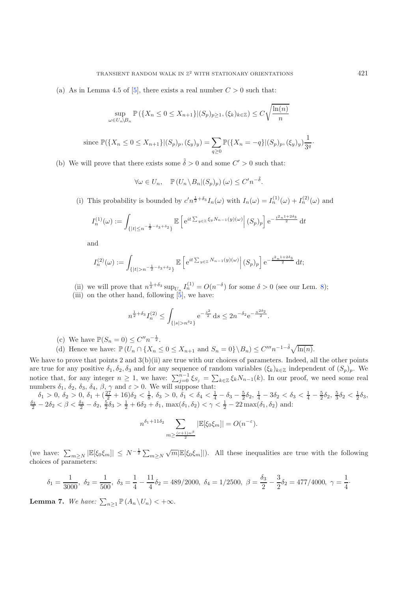(a) As in Lemma 4.5 of [\[5\]](#page-18-2), there exists a real number  $C > 0$  such that:

$$
\sup_{\omega \in U_n \setminus B_n} \mathbb{P}\left(\{X_n \leq 0 \leq X_{n+1}\} | (S_p)_{p \geq 1}, (\xi_k)_{k \in \mathbb{Z}}\right) \leq C \sqrt{\frac{\ln(n)}{n}}
$$

since 
$$
\mathbb{P}(\lbrace X_n \leq 0 \leq X_{n+1} \rbrace | (S_p)_p, (\xi_y)_y) = \sum_{q \geq 0} \mathbb{P}(\lbrace X_n = -q \rbrace | (S_p)_p, (\xi_y)_y) \frac{1}{3^q}.
$$

(b) We will prove that there exists some  $\tilde{\delta} > 0$  and some  $C' > 0$  such that:

 $\forall \omega \in U_n, \quad \mathbb{P}\left( U_n \backslash B_n | (S_p)_p \right) (\omega) \leq C' n^{-\tilde{\delta}}.$ 

(i) This probability is bounded by  $c'n^{\frac{1}{2}+\delta_3}I_n(\omega)$  with  $I_n(\omega) = I_n^{(1)}(\omega) + I_n^{(2)}(\omega)$  and

$$
I_n^{(1)}(\omega) := \int_{\{|t| \le n^{-\frac{1}{2}-\delta_3+\delta_2}\}} \mathbb{E}\left[e^{it\sum_{y\in\mathbb{Z}}\xi_y N_{n-1}(y)(\omega)}\right](S_p)_p\right] e^{-\frac{t^2 n^{1+2\delta_3}}{2}} dt
$$

and

$$
I_n^{(2)}(\omega) := \int_{\{|t| > n^{-\frac{1}{2}-\delta_3+\delta_2}\}} \mathbb{E}\left[e^{it\sum_{y \in \mathbb{Z}} N_{n-1}(y)(\omega)} \middle| (S_p)_p\right] e^{-\frac{t^2 n^{1+2\delta_3}}{2}} dt;
$$

(ii) we will prove that  $n^{\frac{1}{2}+\delta_3} \sup_{U_n} I_n^{(1)} = O(n^{-\delta})$  for some  $\delta > 0$  (see our Lem. [8\)](#page-6-0);

(iii) on the other hand, following  $\begin{bmatrix} 5 \\ 5 \end{bmatrix}$ , we have:

$$
n^{\frac{1}{2}+\delta_3} I_n^{(2)} \le \int_{\{|s|>n^{\delta_2}\}} e^{-\frac{s^2}{2}} ds \le 2n^{-\delta_2} e^{-\frac{n^{2\delta_2}}{2}}.
$$

- (c) We have  $\mathbb{P}(S_n = 0) \leq C'' n^{-\frac{1}{2}}$ .
- (d) Hence we have:  $\mathbb{P}(U_n \cap \{X_n \leq 0 \leq X_{n+1} \text{ and } S_n = 0\} \setminus B_n) \leq C'''' n^{-1-\tilde{\delta}} \sqrt{\ln(n)}$ .

We have to prove that points 2 and 3(b)(ii) are true with our choices of parameters. Indeed, all the other points are true for any positive  $\delta_1, \delta_2, \delta_3$  and for any sequence of random variables  $(\xi_k)_{k \in \mathbb{Z}}$  independent of  $(S_p)_p$ . We notice that, for any integer  $n \geq 1$ , we have:  $\sum_{j=0}^{n-1} \xi_{S_j} = \sum_{k \in \mathbb{Z}} \xi_k N_{n-1}(k)$ . In our proof, we need some real numbers  $\delta_1$ ,  $\delta_2$ ,  $\delta_3$ ,  $\delta_4$ ,  $\beta$ ,  $\gamma$  and  $\varepsilon > 0$ . We will suppose that:

 $\delta_1 > 0$ ,  $\delta_2 > 0$ ,  $\delta_1 + \left(\frac{27}{2} + 16\right)\delta_2 < \frac{1}{8}$ ,  $\delta_3 > 0$ ,  $\delta_1 < \delta_4 < \frac{1}{4} - \delta_3 - \frac{5}{2}\delta_2$ ,  $\frac{1}{4} - 3\delta_2 < \delta_3 < \frac{1}{4} - \frac{5}{2}\delta_2$ ,  $\frac{5}{3}\delta_2 < \frac{1}{2}\delta_3$ ,  $\frac{\delta_3}{2} - 2\delta_2 < \beta < \frac{\delta_3}{2} - \delta_2$ ,  $\frac{5}{2}\delta$ 

$$
n^{\delta_1+11\delta_2} \sum_{m \geq \frac{(r+1)n^{\beta}}{2}} |\mathbb{E}[\xi_0 \xi_m]| = O(n^{-\varepsilon}).
$$

(we have:  $\sum_{m\geq N} |\mathbb{E}[\xi_0\xi_m]| \leq N^{-\frac{1}{2}}\sum_{m\geq N} \sqrt{m} |\mathbb{E}[\xi_0\xi_m]|$ ). All these inequalities are true with the following choices of parameters:

$$
\delta_1 = \frac{1}{3000}, \ \delta_2 = \frac{1}{500}, \ \delta_3 = \frac{1}{4} - \frac{11}{4}\delta_2 = 489/2000, \ \delta_4 = 1/2500, \ \beta = \frac{\delta_3}{2} - \frac{3}{2}\delta_2 = 477/4000, \ \gamma = \frac{1}{4}.
$$

<span id="page-4-0"></span>**Lemma 7.** We have:  $\sum_{n\geq 1} \mathbb{P}(A_n \setminus U_n) < +\infty$ .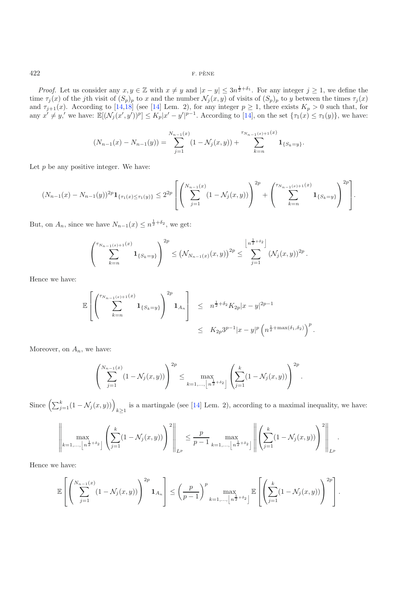*Proof.* Let us consider any  $x, y \in \mathbb{Z}$  with  $x \neq y$  and  $|x - y| \leq 3n^{\frac{1}{2} + \delta_1}$ . For any integer  $j \geq 1$ , we define the time  $\tau_j(x)$  of the jth visit of  $(S_p)_p$  to x and the number  $\mathcal{N}_j(x, y)$  of visits of  $(S_p)_p$  to y between the times  $\tau_j(x)$ and  $\tau_{j+1}(x)$ . According to [\[14](#page-18-5)[,18\]](#page-19-2) (see [14] Lem. 2), for any integer  $p \ge 1$ , there exists  $K_p > 0$  such that, for any  $x' \neq y'$ , we have:  $\mathbb{E}[(\mathcal{N}_j(x', y'))^p] \leq K_p |x' - y'|^{p-1}$ . According to [\[14\]](#page-18-5), on the set  $\{\tau_1(x) \leq \tau_1(y)\}$ , we have:

$$
(N_{n-1}(x) - N_{n-1}(y)) = \sum_{j=1}^{N_{n-1}(x)} (1 - \mathcal{N}_j(x, y)) + \sum_{k=n}^{\tau_{N_{n-1}(x)+1}(x)} \mathbf{1}_{\{S_k = y\}}.
$$

Let  $p$  be any positive integer. We have:

$$
(N_{n-1}(x) - N_{n-1}(y))^{2p} \mathbf{1}_{\{\tau_1(x) \le \tau_1(y)\}} \le 2^{2p} \left[ \left( \sum_{j=1}^{N_{n-1}(x)} (1 - \mathcal{N}_j(x, y)) \right)^{2p} + \left( \sum_{k=n}^{\tau_{N_{n-1}(x)+1}(x)} \mathbf{1}_{\{S_k=y\}} \right)^{2p} \right].
$$

But, on  $A_n$ , since we have  $N_{n-1}(x) \leq n^{\frac{1}{2} + \delta_2}$ , we get:

$$
\left(\sum_{k=n}^{\tau_{N_{n-1}(x)+1}(x)}\mathbf{1}_{\{S_k=y\}}\right)^{2p}\leq \left(\mathcal{N}_{N_{n-1}(x)}(x,y)\right)^{2p}\leq \sum_{j=1}^{\left\lfloor n^{\frac{1}{2}+\delta_2}\right\rfloor}(\mathcal{N}_j(x,y))^{2p}.
$$

Hence we have:

$$
\mathbb{E}\left[\left(\sum_{k=n}^{\tau_{N_{n-1}(x)+1}(x)}\mathbf{1}_{\{S_k=y\}}\right)^{2p}\mathbf{1}_{A_n}\right] \leq n^{\frac{1}{2}+\delta_2}K_{2p}|x-y|^{2p-1}
$$
  

$$
\leq K_{2p}3^{p-1}|x-y|^p\left(n^{\frac{1}{2}+\max(\delta_1,\delta_2)}\right)^p.
$$

Moreover, on  $A_n$ , we have:

$$
\left(\sum_{j=1}^{N_{n-1}(x)}(1-\mathcal{N}_j(x,y))\right)^{2p} \leq \max_{k=1,\ldots,\lfloor n^{\frac{1}{2}+\delta_2}\rfloor} \left(\sum_{j=1}^k(1-\mathcal{N}_j(x,y))\right)^{2p}.
$$

Since  $\left(\sum_{j=1}^k (1-\mathcal{N}_j(x,y))\right)_{k\geq 1}$  is a martingale (see [\[14\]](#page-18-5) Lem. 2), according to a maximal inequality, we have:

$$
\left\| \max_{k=1,\dots,\left\lfloor n^{\frac{1}{2}+\delta_2} \right\rfloor} \left( \sum_{j=1}^k (1-\mathcal{N}_j(x,y)) \right)^2 \right\|_{L^p} \leq \frac{p}{p-1} \max_{k=1,\dots,\left\lfloor n^{\frac{1}{2}+\delta_2} \right\rfloor} \left\| \left( \sum_{j=1}^k (1-\mathcal{N}_j(x,y)) \right)^2 \right\|_{L^p}.
$$

Hence we have:

$$
\mathbb{E}\left[\left(\sum_{j=1}^{N_{n-1}(x)}(1-\mathcal{N}_j(x,y))\right)^{2p}\mathbf{1}_{A_n}\right] \leq \left(\frac{p}{p-1}\right)^p \max_{k=1,\ldots,\left\lfloor n^{\frac{1}{2}+\delta_2}\right\rfloor} \mathbb{E}\left[\left(\sum_{j=1}^k(1-\mathcal{N}_j(x,y))\right)^{2p}\right].
$$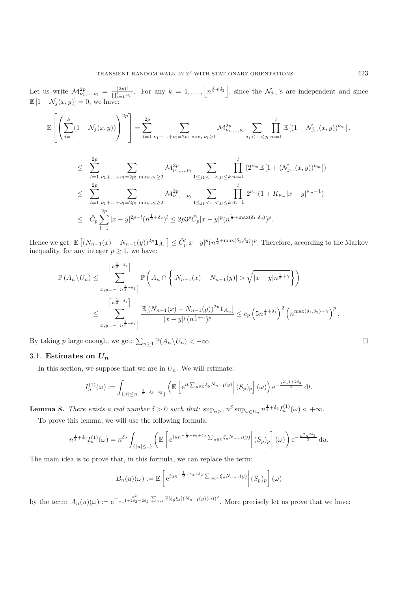Let us write  $\mathcal{M}_{\nu_1,\dots,\nu_l}^{2p} = \frac{(2p)!}{\prod_{i=1}^l \nu_i!}$ . For any  $k = 1,\dots,\left\lfloor n^{\frac{1}{2}+\delta_2} \right\rfloor$ , since the  $\mathcal{N}_{j_m}$ 's are independent and since  $\mathbb{E}[1 - \mathcal{N}_j(x, y)] = 0$ , we have:

$$
\mathbb{E}\left[\left(\sum_{j=1}^k (1-\mathcal{N}_j(x,y))\right)^{2p}\right] = \sum_{l=1}^{2p} \sum_{\nu_1+\ldots+\nu_l=2p;\ \min_i \nu_i\geq 1} \mathcal{M}_{\nu_1,\ldots,\nu_l}^{2p} \sum_{j_1<\ldots
$$

$$
\leq \sum_{l=1}^{2p} \sum_{\nu_1 + \dots + \nu_l = 2p; \min_i \nu_i \geq 2} \mathcal{M}_{\nu_1, \dots, \nu_l}^{2p} \sum_{1 \leq j_1 < \dots < j_l \leq k} \prod_{m=1}^l (2^{\nu_m} \mathbb{E} \left[ 1 + (\mathcal{N}_{j_m}(x, y))^{\nu_m} \right])
$$
  
\n
$$
\leq \sum_{l=1}^{2p} \sum_{\nu_1 + \dots + \nu_l = 2p; \min_i \nu_i \geq 2} \mathcal{M}_{\nu_1, \dots, \nu_l}^{2p} \sum_{1 \leq j_1 < \dots < j_l \leq k} \prod_{m=1}^l 2^{\nu_m} (1 + K_{\nu_m} |x - y|^{\nu_m - 1})
$$
  
\n
$$
\leq \tilde{C}_p \sum_{l=1}^{2p} |x - y|^{2p - l} (n^{\frac{1}{2} + \delta_2})^l \leq 2p 3^p \tilde{C}_p |x - y|^p (n^{\frac{1}{2} + \max(\delta_1, \delta_2)})^p.
$$

Hence we get:  $\mathbb{E} [(N_{n-1}(x) - N_{n-1}(y))^{2p} 1_{A_n}] \leq \tilde{C}'_p |x-y|^p (n^{\frac{1}{2} + \max(\delta_1, \delta_2)})^p$ . Therefore, according to the Markov inequality, for any integer  $p \geq 1$ , we have:

$$
\mathbb{P}(A_n \setminus U_n) \leq \sum_{x,y=-\left\lceil n^{\frac{1}{2}+\delta_1} \right\rceil}^{\left\lceil n^{\frac{1}{2}+\delta_1} \right\rceil} \mathbb{P}\left(A_n \cap \left\{|N_{n-1}(x) - N_{n-1}(y)| > \sqrt{|x-y|n^{\frac{1}{2}+\gamma}}\right\}\right)
$$
  

$$
\leq \sum_{x,y=-\left\lceil n^{\frac{1}{2}+\delta_1} \right\rceil}^{\left\lceil n^{\frac{1}{2}+\delta_1} \right\rceil} \frac{\mathbb{E}[(N_{n-1}(x) - N_{n-1}(y))^{2p} \mathbf{1}_{A_n}]}{|x-y|^p (n^{\frac{1}{2}+\gamma})^p} \leq c_p \left(5n^{\frac{1}{2}+\delta_1}\right)^2 \left(n^{\max(\delta_1, \delta_2) - \gamma}\right)^p.
$$

By taking p large enough, we get:  $\sum_{n\geq 1} \mathbb{P}(A_n \setminus U_n) < +\infty$ .

### 3.1. **Estimates on** *U<sup>n</sup>*

In this section, we suppose that we are in  $U_n$ . We will estimate:

$$
I_n^{(1)}(\omega) := \int_{\{|t| \le n^{-\frac{1}{2}-\delta_3+\delta_2}\}} \left( \mathbb{E}\left[e^{it\sum_{y \in \mathbb{Z}} \xi_y N_{n-1}(y)}\right|(S_p)_p\right](\omega)\right) e^{-\frac{t^2 n^{1+2\delta_3}}{2}} dt.
$$

<span id="page-6-0"></span>**Lemma 8.** *There exists a real number*  $\delta > 0$  *such that:*  $\sup_{n \geq 1} n^{\delta} \sup_{\omega \in U_n} n^{\frac{1}{2} + \delta_3} I_n^{(1)}(\omega) < +\infty$ .

To prove this lemma, we will use the following formula:

$$
n^{\frac{1}{2}+\delta_3} I_n^{(1)}(\omega) = n^{\delta_2} \int_{\{|u| \le 1\}} \left( \mathbb{E} \left[ e^{iun^{-\frac{1}{2}-\delta_3+\delta_2} \sum_{y \in \mathbb{Z}} \xi_y N_{n-1}(y)} \middle| (S_p)_p \right](\omega) \right) e^{-\frac{u^2 n^{2\delta_2}}{2}} du.
$$

The main idea is to prove that, in this formula, we can replace the term:

$$
B_n(u)(\omega) := \mathbb{E}\left[e^{iun^{-\frac{1}{2}-\delta_3+\delta_2}\sum_{y\in\mathbb{Z}}\xi_y N_{n-1}(y)}\middle|(S_p)_p\right](\omega)
$$

<span id="page-6-1"></span>by the term:  $A_n(u)(\omega) := e^{-\frac{u^2}{2n^{1+2\delta_3-2\delta_2}}\sum_{y,z}\mathbb{E}[\xi_y\xi_z](N_{n-1}(y)(\omega))^2}$ . More precisely let us prove that we have:

 $\hfill \square$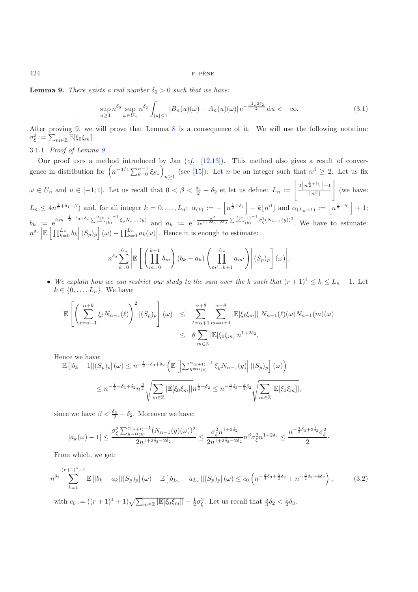**Lemma 9.** *There exists a real number*  $\delta_0 > 0$  *such that we have:* 

$$
\sup_{n\geq 1} n^{\delta_0} \sup_{\omega \in U_n} n^{\delta_2} \int_{|u| \leq 1} |B_n(u)(\omega) - A_n(u)(\omega)| \, \mathrm{e}^{-\frac{u^2 n^{2\delta_2}}{2}} \, \mathrm{d}u < +\infty. \tag{3.1}
$$

After proving [9,](#page-6-1) we will prove that Lemma [8](#page-6-0) is a consequence of it. We will use the following notation:  $\sigma_{\xi}^2 := \sum_{m \in \mathbb{Z}} \mathbb{E}[\xi_0 \xi_m].$ 

3.1.1. *Proof of Lemma [9](#page-6-1)*

Our proof uses a method introduced by Jan (*cf.* [\[12](#page-18-6)[,13\]](#page-18-7)). This method also gives a result of convergence in distribution for  $\left(n^{-3/4}\sum_{k=0}^{n-1}\xi_{S_n}\right)_{n\geq 1}$  (see [\[15](#page-18-8)]). Let *n* be an integer such that  $n^{\beta} \geq 2$ . Let us fix  $\omega \in U_n$  and  $u \in [-1,1]$ . Let us recall that  $0 < \beta < \frac{\delta_3}{2} - \delta_2$  et let us define:  $L_n := \left\lfloor \frac{2\left\lfloor n^{\frac{1}{2} + \delta_1} \right\rfloor + 1}{\lfloor n^{\beta} \rfloor} \right\rfloor$  $\lfloor n^{\beta} \rfloor$  $\overline{1}$ (we have:  $L_n \leq 4n^{\frac{1}{2}+\delta_1-\beta}$  and, for all integer  $k=0,\ldots,L_n$ :  $\alpha_{(k)} := -\left|n^{\frac{1}{2}+\delta_1}\right| + k\left\lfloor n^{\beta}\right\rfloor$  and  $\alpha_{(L_n+1)} := \left|n^{\frac{1}{2}+\delta_1}\right| + 1$ ;  $b_k := e^{iun^{-\frac{1}{2}-\delta_3+\delta_2}\sum_{y=\alpha(k)}^{\alpha(k+1)-1}\xi_yN_{n-1}(y)}$  and  $a_k := e^{-\frac{u^2}{2n^{1+2\delta_3-2\delta_2}}\sum_{y=\alpha(k)}^{\alpha(k+1)-1}\sigma_{\xi}^2(N_{n-1}(y))^2}$ . We have to estimate:  $n^{\delta_2}$  $\mathbb{E}\left[\prod_{k=0}^{L_n} b_k \middle| (S_p)_p\right](\omega) - \prod_{k=0}^{L_n} a_k(\omega)\right]$ . Hence it is enough to estimate:

$$
n^{\delta_2} \sum_{k=0}^{L_n} \left| \mathbb{E}\left[\left(\prod_{m=0}^{k-1} b_m\right)(b_k-a_k)\left(\prod_{m'=k+1}^{L_n} a_{m'}\right)\right](S_p)_p\right](\omega)\right|.
$$

• We explain how we can restrict our study to the sum over the k such that  $(r + 1)^4 \leq k \leq L_n - 1$ . Let  $k \in \{0, \ldots, L_n\}$ . We have:

$$
\mathbb{E}\left[\left(\sum_{\ell=\alpha+1}^{\alpha+\theta}\xi_{\ell}N_{n-1}(\ell)\right)^{2}|(S_{p})_{p}\right](\omega) \leq \sum_{\ell=\alpha+1}^{\alpha+\theta}\sum_{m=\alpha+1}^{\alpha+\theta}|\mathbb{E}[\xi_{\ell}\xi_{m}]| N_{n-1}(\ell)(\omega)N_{n-1}(m)(\omega) \leq \theta \sum_{m\in\mathbb{Z}}|\mathbb{E}[\xi_{0}\xi_{m}]|n^{1+2\delta_{2}}.
$$

Hence we have:

$$
\mathbb{E}\left[|b_k - 1||(S_p)_p\right](\omega) \le n^{-\frac{1}{2}-\delta_3+\delta_2} \left(\mathbb{E}\left[\left|\sum_{y=\alpha(k)}^{\alpha(k+1)-1} \xi_y N_{n-1}(y)\right||(S_p)_p\right](\omega)\right)
$$
  

$$
\le n^{-\frac{1}{2}-\delta_3+\delta_2} n^{\frac{\beta}{2}} \sqrt{\sum_{m\in\mathbb{Z}} |\mathbb{E}[\xi_0\xi_m]|n^{\frac{1}{2}+\delta_2}} \le n^{-\frac{3}{4}\delta_3+\frac{3}{2}\delta_2} \sqrt{\sum_{m\in\mathbb{Z}} |\mathbb{E}[\xi_0\xi_m]|},
$$

since we have  $\beta < \frac{\delta_3}{2} - \delta_2$ . Moreover we have:

$$
|a_k(\omega)-1| \le \frac{\sigma_\xi^2 \sum_{y=\alpha_{(k)}}^{\alpha_{(k+1)}-1} (N_{n-1}(y)(\omega))^2}{2n^{1+2\delta_3-2\delta_2}} \le \frac{\sigma_\xi^2 n^{1+2\delta_2}}{2n^{1+2\delta_3-2\delta_2}} n^\beta \sigma_\xi^2 n^{1+2\delta_2} \le \frac{n^{-\frac{3}{2}\delta_3+3\delta_2} \sigma_\xi^2}{2}.
$$

From which, we get:

$$
n^{\delta_2} \sum_{k=0}^{(r+1)^4-1} \mathbb{E}\left[|b_k - a_k||(S_p)_p\right](\omega) + \mathbb{E}\left[|b_{L_n} - a_{L_n}||(S_p)_p\right](\omega) \le c_0 \left(n^{-\frac{3}{4}\delta_3 + \frac{5}{2}\delta_2} + n^{-\frac{3}{2}\delta_3 + 4\delta_2}\right),\tag{3.2}
$$

with  $c_0 := ((r+1)^4 + 1)\sqrt{\sum_{m \in \mathbb{Z}} |\mathbb{E}[\xi_0 \xi_m]|} + \frac{1}{2}\sigma_{\xi}^2$ . Let us recall that  $\frac{5}{3}\delta_2 < \frac{1}{2}\delta_3$ .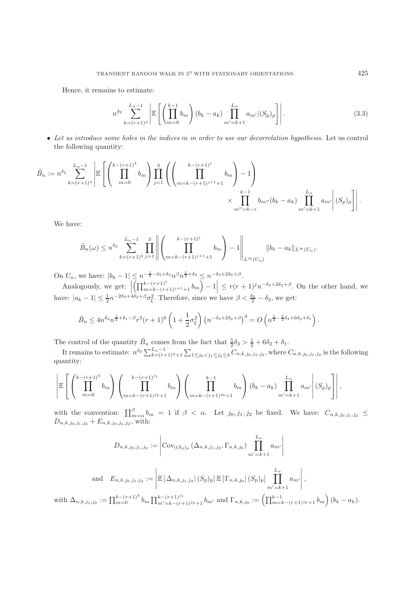Hence, it remains to estimate:

$$
n^{\delta_2} \sum_{k=(r+1)^4}^{L_n-1} \left| \mathbb{E}\left[\left(\prod_{m=0}^{k-1} b_m\right)(b_k-a_k) \prod_{m'=k+1}^{L_n} a_{m'} |(S_p)_p\right] \right|.
$$
 (3.3)

• *Let us introduce some holes in the indices* m *in order to use our decorrelation hypothesis*. Let us control the following quantity:

$$
\tilde{B}_n := n^{\delta_2} \sum_{k=(r+1)^4}^{L_n-1} \left| \mathbb{E}\left[\left(\prod_{m=0}^{k-(r+1)^4} b_m\right) \prod_{j=1}^3 \left(\left(\prod_{m=k-(r+1)^{j+1}+1}^{k-(r+1)^j} b_m\right) - 1\right) \right.\right.\times \prod_{m'=k-r}^{k-1} b_{m''}(b_k - a_k) \prod_{m'=k+1}^{L_n} a_{m'} \left|(S_p)_p\right|\right|.
$$

We have:

with

$$
\tilde{B}_n(\omega) \leq n^{\delta_2} \sum_{k=(r+1)^4}^{L_n-1} \prod_{j=1}^3 \left\| \left( \prod_{m=k-(r+1)^{j+1}+1}^{k-(r+1)^j} b_m \right) - 1 \right\|_{L^\infty(U_n)} \|b_k - a_k\|_{L^\infty(U_n)}.
$$

On  $U_n$ , we have:  $|b_k - 1| \leq n^{-\frac{1}{2} - \delta_3 + \delta_2} n^{\beta} n^{\frac{1}{2} + \delta_2} \leq n^{-\delta_3 + 2\delta_2 + \beta}$ .

Analogously, we get:  $\begin{bmatrix} 1 & 3 \end{bmatrix}$  $\left( \prod_{m=k-(r+1)^j+1+1}^{k-(r+1)^j} b_m \right) - 1 \leq r(r+1)^j n^{-\delta_3+2\delta_2+\beta}$ . On the other hand, we have:  $|a_k - 1| \leq \frac{1}{2} n^{-2\delta_3 + 4\delta_2 + \beta} \sigma_{\xi}^2$ . Therefore, since we have  $\beta < \frac{\delta_3}{2} - \delta_2$ , we get:

$$
\tilde{B}_n \le 4n^{\delta_2} n^{\frac{1}{2} + \delta_1 - \beta} r^3 (r+1)^6 \left( 1 + \frac{1}{2} \sigma_{\xi}^2 \right) \left( n^{-\delta_3 + 2\delta_2 + \beta} \right)^4 = O\left( n^{\frac{1}{2} - \frac{5}{2}\delta_3 + 6\delta_2 + \delta_1} \right).
$$

The control of the quantity  $\tilde{B}_n$  comes from the fact that  $\frac{5}{2}\delta_3 > \frac{1}{2} + 6\delta_2 + \delta_1$ .

It remains to estimate:  $n^{\delta_2} \sum_{k=(r+1)^4+1}^{L_n-1} \sum_{1 \leq j_0 < j_1 \leq j_2 \leq 4} C_{n,k,j_0,j_1,j_2}$ , where  $C_{n,k,j_0,j_1,j_2}$  is the following quantity:

$$
\left| \mathbb{E}\left[\left(\prod_{m=0}^{k-(r+1)^4} b_m\right) \left(\prod_{m=k-(r+1)^3}^{k-(r+1)^3} b_m\right) \left(\prod_{m=k-(r+1)^3}^{k-1} b_m\right) (b_k-a_k) \prod_{m'=k+1}^{L_n} a_{m'}\right) (S_p)_p \right] \right|,
$$

with the convention:  $\prod_{m=\alpha}^{\beta} b_m = 1$  if  $\beta < \alpha$ . Let  $j_0, j_1, j_2$  be fixed. We have:  $C_{n,k,j_0,j_1,j_2} \leq$  $D_{n,k,j_0,j_1,j_2} + E_{n,k,j_0,j_1,j_2}$ , with:

$$
D_{n,k,j_0,j_1,j_2} := \left| \text{Cov}_{|(S_p)_p} (\Delta_{n,k,j_1,j_2}, \Gamma_{n,k,j_0}) \prod_{m'=k+1}^{L_n} a_{m'} \right|
$$
  
and 
$$
E_{n,k,j_0,j_1,j_2} := \left| \mathbb{E} \left[ \Delta_{n,k,j_1,j_2} | (S_p)_p \right] \mathbb{E} \left[ \Gamma_{n,k,j_0} | (S_p)_p \right] \prod_{m'=k+1}^{L_n} a_{m'} \right|,
$$
  

$$
\Delta_{n,k,j_1,j_2} := \prod_{m=0}^{k-(r+1)^4} b_m \prod_{m'=k-(r+1)^{j_2}+1}^{k-(r+1)^{j_1}} b_{m'} \text{ and } \Gamma_{n,k,j_0} := \left( \prod_{m=k-(r+1)^{j_0}+1}^{k-1} b_m \right) (b_k - a_k).
$$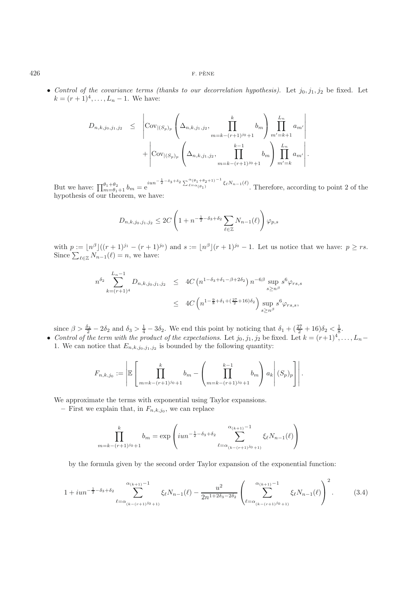• *Control of the covariance terms (thanks to our decorrelation hypothesis)*. Let  $j_0, j_1, j_2$  be fixed. Let  $k = (r+1)^4, \ldots, L_n-1$ . We have:

$$
D_{n,k,j_0,j_1,j_2} \leq \left| \text{Cov}_{|(S_p)_p} \left( \Delta_{n,k,j_1,j_2}, \prod_{m=k-(r+1)^{j_0}+1}^{k} b_m \right) \prod_{m'=k+1}^{L_n} a_{m'} \right| + \left| \text{Cov}_{|(S_p)_p} \left( \Delta_{n,k,j_1,j_2}, \prod_{m=k-(r+1)^{j_0}+1}^{k-1} b_m \right) \prod_{m'=k}^{L_n} a_{m'} \right|.
$$

But we have:  $\prod_{m=\theta_1+1}^{\theta_1+\theta_2} b_m = e$  $\lim^{-\frac{1}{2}-\delta_3+\delta_2} \sum_{\ell=\alpha(\theta_1)}^{\alpha(\theta_1+\theta_2+1)-1} \xi_{\ell} N_{n-1}(\ell)$ . Therefore, according to point 2 of the hypothesis of our theorem, we have:

$$
D_{n,k,j_0,j_1,j_2} \leq 2C \left( 1 + n^{-\frac{1}{2} - \delta_3 + \delta_2} \sum_{\ell \in \mathbb{Z}} N_{n-1}(\ell) \right) \varphi_{p,s}
$$

with  $p := \lfloor n^{\beta} \rfloor ((r+1)^{j_1} - (r+1)^{j_0})$  and  $s := \lfloor n^{\beta} \rfloor (r+1)^{j_0} - 1$ . Let us notice that we have:  $p \ge rs$ . Since  $\sum_{\ell \in \mathbb{Z}} N_{n-1}(\ell) = n$ , we have:

$$
n^{\delta_2} \sum_{k=(r+1)^4}^{L_n-1} D_{n,k,j_0,j_1,j_2} \leq 4C \left( n^{1-\delta_3+\delta_1-\beta+2\delta_2} \right) n^{-6\beta} \sup_{s \geq n^{\beta}} s^6 \varphi_{rs,s}
$$
  

$$
\leq 4C \left( n^{1-\frac{9}{8}+\delta_1+(\frac{27}{2}+16)\delta_2} \right) \sup_{s \geq n^{\beta}} s^6 \varphi_{rs,s},
$$

since  $\beta > \frac{\delta_3}{2} - 2\delta_2$  and  $\delta_3 > \frac{1}{4} - 3\delta_2$ . We end this point by noticing that  $\delta_1 + (\frac{27}{2} + 16)\delta_2 < \frac{1}{8}$ .

• *Control of the term with the product of the expectations.* Let  $j_0, j_1, j_2$  be fixed. Let  $k = (r+1)^4, \ldots, L_n$ 1. We can notice that  $E_{n,k,j_0,j_1,j_2}$  is bounded by the following quantity:

$$
F_{n,k,j_0} := \left| \mathbb{E} \left[ \prod_{m=k-(r+1)^{j_0}+1}^{k} b_m - \left( \prod_{m=k-(r+1)^{j_0}+1}^{k-1} b_m \right) a_k \right| (S_p)_p \right] \right|.
$$

We approximate the terms with exponential using Taylor expansions.

– First we explain that, in  $F_{n,k,j_0}$ , we can replace

$$
\prod_{m=k-(r+1)^{j_0}+1}^{k} b_m = \exp\left(iun^{-\frac{1}{2}-\delta_3+\delta_2} \sum_{\ell=\alpha_{(k-(r+1)^{j_0}+1)}}^{\alpha_{(k+1)}-1} \xi_{\ell} N_{n-1}(\ell)\right)
$$

by the formula given by the second order Taylor expansion of the exponential function:

$$
1 + iun^{-\frac{1}{2} - \delta_3 + \delta_2} \sum_{\ell = \alpha_{(k - (r+1)^{j_0} + 1)}}^{\alpha_{(k+1)} - 1} \xi_{\ell} N_{n-1}(\ell) - \frac{u^2}{2n^{1 + 2\delta_3 - 2\delta_2}} \left(\sum_{\ell = \alpha_{(k - (r+1)^{j_0} + 1)}}^{\alpha_{(k+1)} - 1} \xi_{\ell} N_{n-1}(\ell)\right)^2.
$$
 (3.4)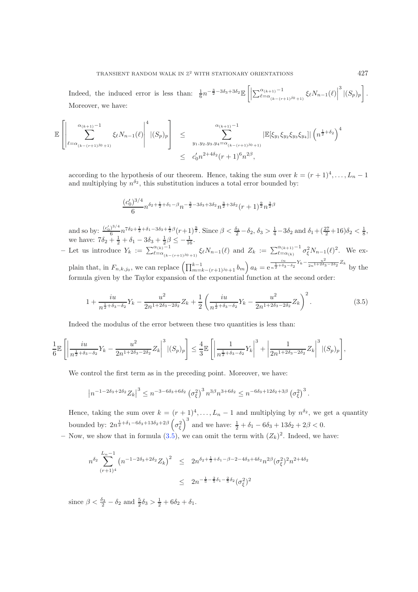Indeed, the induced error is less than:  $\frac{1}{6}n^{-\frac{3}{2}-3\delta_3+3\delta_2}\mathbb{E}\left[\left|\sum_{\ell=\alpha_{(k-(r+1)}^{\alpha_{(k+1)}-1}}^{\alpha_{(k+1)}-1}\xi_{\ell}N_{n-1}(\ell)\right|\right]$  $^{3}|(S_{p})_{p}|$ . Moreover, we have:

$$
\mathbb{E}\left[\left|\sum_{\ell=\alpha_{(k-(r+1)^{j_0}+1)}}^{\alpha_{(k+1)}-1} \xi_{\ell}N_{n-1}(\ell)\right|^4 |(S_p)_p\right] \leq \sum_{\substack{y_1,y_2,y_3,y_4=\alpha_{(k-(r+1)^{j_0}+1)}}}^{\alpha_{(k+1)}-1} |\mathbb{E}[\xi_{y_1}\xi_{y_2}\xi_{y_3}\xi_{y_4}]| \left(n^{\frac{1}{2}+\delta_2}\right)^4 \leq c'_0 n^{2+4\delta_2}(r+1)^6 n^{2\beta},
$$

<span id="page-10-0"></span>according to the hypothesis of our theorem. Hence, taking the sum over  $k = (r+1)^4, \ldots, L_n - 1$ and multiplying by  $n^{\delta_2}$ , this substitution induces a total error bounded by:

$$
\frac{(c'_0)^{3/4}}{6}n^{\delta_2+\frac{1}{2}+\delta_1-\beta}n^{-\frac{3}{2}-3\delta_3+3\delta_2}n^{\frac{3}{2}+3\delta_2}(r+1)^{\frac{9}{2}}n^{\frac{3}{2}\beta}
$$

and so by:  $\frac{(c'_0)^{3/4}}{6}n^{7\delta_2+\frac{1}{2}+\delta_1-3\delta_3+\frac{1}{2}\beta}(r+1)^{\frac{9}{2}}$ . Since  $\beta < \frac{\delta_3}{2}-\delta_2$ ,  $\delta_3 > \frac{1}{4}-3\delta_2$  and  $\delta_1+(\frac{27}{2}+16)\delta_2 < \frac{1}{8}$ , we have:  $7\delta_2 + \frac{1}{2} + \delta_1 - 3\delta_3 + \frac{1}{2}\beta \leq -\frac{1}{16}$ .  $-$  Let us introduce  $Y_k := \sum_{\ell = \alpha_{(k-(r+1)^{j_0}+1)}}^{\alpha_{(k)}-1} \xi_\ell N_{n-1}(\ell)$  and  $Z_k := \sum_{\ell = \alpha_{(k)}}^{\alpha_{(k+1)}-1} \sigma_\xi^2 N_{n-1}(\ell)^2$ . We explain that, in  $F_{n,k,j_0}$ , we can replace  $\left(\prod_{m=k-(r+1)^{j_0}+1}^{k-1} b_m\right) a_k = e^{\frac{iu}{n^{\frac{1}{2}+\delta_3}}}$  $\frac{i\pi}{n^{\frac{1}{2} + \delta_3 - \delta_2}} Y_k - \frac{\pi^2}{2n^{1+2\delta_3 - 2\delta_2}} Z_k$  by the formula given by the Taylor expansion of the exponential function at the second order:

$$
1 + \frac{iu}{n^{\frac{1}{2} + \delta_3 - \delta_2}} Y_k - \frac{u^2}{2n^{1 + 2\delta_3 - 2\delta_2}} Z_k + \frac{1}{2} \left( \frac{iu}{n^{\frac{1}{2} + \delta_3 - \delta_2}} Y_k - \frac{u^2}{2n^{1 + 2\delta_3 - 2\delta_2}} Z_k \right)^2.
$$
(3.5)

Indeed the modulus of the error between these two quantities is less than:

$$
\frac{1}{6}\mathbb{E}\left[\left|\frac{iu}{n^{\frac{1}{2}+\delta_3-\delta_2}}Y_k-\frac{u^2}{2n^{1+2\delta_3-2\delta_2}}Z_k\right|^3|(S_p)_p\right]\leq \frac{4}{3}\mathbb{E}\left[\left|\frac{1}{n^{\frac{1}{2}+\delta_3-\delta_2}}Y_k\right|^3+\left|\frac{1}{2n^{1+2\delta_3-2\delta_2}}Z_k\right|^3|(S_p)_p\right],
$$

We control the first term as in the preceding point. Moreover, we have:

$$
\left| n^{-1-2\delta_3+2\delta_2} Z_k \right|^3 \leq n^{-3-6\delta_3+6\delta_2} \left( \sigma_\xi^2 \right)^3 n^{3\beta} n^{3+6\delta_2} \leq n^{-6\delta_3+12\delta_2+3\beta} \left( \sigma_\xi^2 \right)^3.
$$

Hence, taking the sum over  $k = (r+1)^4, \ldots, L_n-1$  and multiplying by  $n^{\delta_2}$ , we get a quantity bounded by:  $2n^{\frac{1}{2}+\delta_1-6\delta_3+13\delta_2+2\beta}\left(\sigma_{\xi}^2\right)^3$  and we have:  $\frac{1}{2}+\delta_1-6\delta_3+13\delta_2+2\beta<0$ .

– Now, we show that in formula  $(3.5)$ , we can omit the term with  $(Z_k)^2$ . Indeed, we have:

$$
n^{\delta_2} \sum_{(r+1)^4}^{L_n - 1} (n^{-1 - 2\delta_3 + 2\delta_2} Z_k)^2 \le 2n^{\delta_2 + \frac{1}{2} + \delta_1 - \beta - 2 - 4\delta_3 + 4\delta_2} n^{2\beta} (\sigma_\xi^2)^2 n^{2 + 4\delta_2}
$$
  

$$
\le 2n^{-\frac{1}{5} - \frac{2}{5}\delta_1 - \frac{2}{5}\delta_2} (\sigma_\xi^2)^2
$$

since  $\beta < \frac{\delta_3}{2} - \delta_2$  and  $\frac{5}{2}\delta_3 > \frac{1}{2} + 6\delta_2 + \delta_1$ .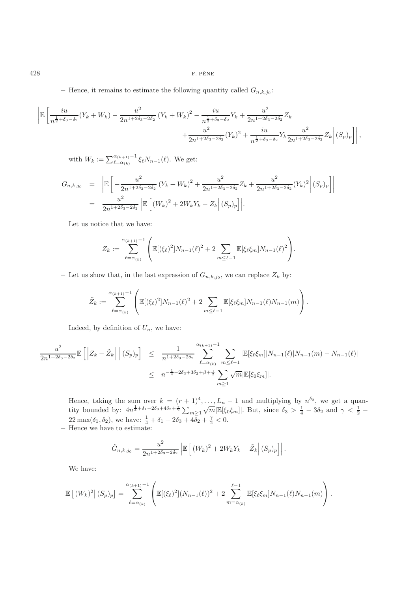– Hence, it remains to estimate the following quantity called  $G_{n,k,j_0}$ :

$$
\left| \mathbb{E}\left[\frac{iu}{n^{\frac{1}{2}+\delta_3-\delta_2}}(Y_k+W_k)-\frac{u^2}{2n^{1+2\delta_3-2\delta_2}}(Y_k+W_k)^2-\frac{iu}{n^{\frac{1}{2}+\delta_3-\delta_2}}Y_k+\frac{u^2}{2n^{1+2\delta_3-2\delta_2}}Z_k+\frac{u^2}{2n^{1+2\delta_3-2\delta_2}}Y_k+\frac{iu}{n^{\frac{1}{2}+\delta_3-\delta_2}}Y_k\frac{u^2}{2n^{1+2\delta_3-2\delta_2}}Z_k\right|(S_p)_p\right]\right|,
$$

with  $W_k := \sum_{\ell = \alpha_{(k)}}^{\alpha_{(k+1)}} \xi_{\ell} N_{n-1}(\ell)$ . We get:

$$
G_{n,k,j_0} = \left| \mathbb{E} \left[ -\frac{u^2}{2n^{1+2\delta_3 - 2\delta_2}} (Y_k + W_k)^2 + \frac{u^2}{2n^{1+2\delta_3 - 2\delta_2}} Z_k + \frac{u^2}{2n^{1+2\delta_3 - 2\delta_2}} (Y_k)^2 \right] (S_p)_p \right] \right|
$$
  
= 
$$
\frac{u^2}{2n^{1+2\delta_3 - 2\delta_2}} \left| \mathbb{E} \left[ (W_k)^2 + 2W_k Y_k - Z_k \right] (S_p)_p \right|.
$$

Let us notice that we have:

$$
Z_k := \sum_{\ell = \alpha_{(k)}}^{\alpha_{(k+1)} - 1} \left( \mathbb{E}[(\xi_\ell)^2] N_{n-1}(\ell)^2 + 2 \sum_{m \leq \ell - 1} \mathbb{E}[\xi_\ell \xi_m] N_{n-1}(\ell)^2 \right).
$$

– Let us show that, in the last expression of  $G_{n,k,j_0}$ , we can replace  $Z_k$  by:

$$
\tilde{Z}_k := \sum_{\ell=\alpha_{(k)}}^{\alpha_{(k+1)}-1} \left( \mathbb{E}[(\xi_\ell)^2] N_{n-1}(\ell)^2 + 2 \sum_{m \leq \ell-1} \mathbb{E}[\xi_\ell \xi_m] N_{n-1}(\ell) N_{n-1}(m) \right).
$$

Indeed, by definition of  $U_n$ , we have:

$$
\frac{u^2}{2n^{1+2\delta_3-2\delta_2}} \mathbb{E}\left[\left|Z_k - \tilde{Z}_k\right| \Big| (S_p)_p\right] \leq \frac{1}{n^{1+2\delta_3-2\delta_2}} \sum_{\ell=\alpha_{(k)}}^{\alpha_{(k+1)}-1} \sum_{m \leq \ell-1} |\mathbb{E}[\xi_\ell \xi_m]|N_{n-1}(\ell)|N_{n-1}(m) - N_{n-1}(\ell)|
$$
  

$$
\leq n^{-\frac{1}{4}-2\delta_3+3\delta_2+\beta+\frac{\gamma}{2}} \sum_{m \geq 1} \sqrt{m} |\mathbb{E}[\xi_0 \xi_m]|.
$$

Hence, taking the sum over  $k = (r + 1)^4, \ldots, L_n - 1$  and multiplying by  $n^{\delta_2}$ , we get a quan-There is the sum over  $n = (n+1)$ ,  $\ldots$ ,  $n = 1$  and mandplying by  $n = 1$ , we get a quality bounded by:  $4n^{\frac{1}{4} + \delta_1 - 2\delta_3 + 4\delta_2 + \frac{\gamma}{2}} \sum_{m \geq 1} \sqrt{m} |\mathbb{E}[\xi_0 \xi_m]|$ . But, since  $\delta_3 > \frac{1}{4} - 3\delta_2$  and  $\gamma < \frac{1}{2} 22 \max(\delta_1, \delta_2)$ , we have:  $\frac{1}{4} + \delta_1 - 2\delta_3 + 4\overline{\delta}_2 + \frac{\gamma}{2} < 0$ .

**–** Hence we have to estimate:

$$
\tilde{G}_{n,k,j_0} = \frac{u^2}{2n^{1+2\delta_3 - 2\delta_2}} \left| \mathbb{E}\left[ (W_k)^2 + 2W_k Y_k - \tilde{Z}_k \right] (S_p)_p \right| \right|.
$$

We have:

$$
\mathbb{E}\left[(W_k)^2|(S_p)_p\right] = \sum_{\ell=\alpha_{(k)}}^{\alpha_{(k+1)}-1} \left(\mathbb{E}[(\xi_\ell)^2](N_{n-1}(\ell))^2 + 2\sum_{m=\alpha_{(k)}}^{\ell-1} \mathbb{E}[\xi_\ell \xi_m]N_{n-1}(\ell)N_{n-1}(m)\right).
$$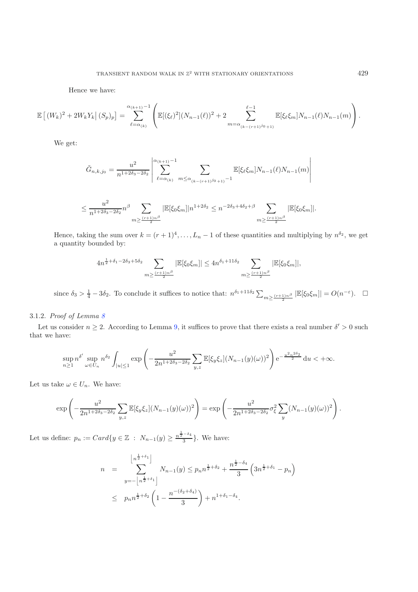Hence we have:

$$
\mathbb{E}\left[\left(W_k\right)^2 + 2W_kY_k\right|(S_p)_p\right] = \sum_{\ell=\alpha_{(k)}}^{\alpha_{(k+1)}-1} \left( \mathbb{E}[(\xi_\ell)^2](N_{n-1}(\ell))^2 + 2\sum_{m=\alpha_{(k-(r+1)^{j_0}+1)}}^{\ell-1} \mathbb{E}[\xi_\ell\xi_m]N_{n-1}(\ell)N_{n-1}(m) \right).
$$

We get:

$$
\tilde{G}_{n,k,j_0} = \frac{u^2}{n^{1+2\delta_3 - 2\delta_2}} \left| \sum_{\ell = \alpha_{(k)}}^{\alpha_{(k+1)} - 1} \sum_{m \le \alpha_{(k-(r+1)^{j_0}+1)} - 1} \mathbb{E}[\xi_\ell \xi_m] N_{n-1}(\ell) N_{n-1}(m) \right|
$$

$$
\leq \frac{u^2}{n^{1+2\delta_3-2\delta_2}}n^{\beta}\sum_{m\geq \frac{(r+1)n^{\beta}}{2}}|\mathbb{E}[\xi_0\xi_m]|n^{1+2\delta_2}\leq n^{-2\delta_3+4\delta_2+\beta}\sum_{m\geq \frac{(r+1)n^{\beta}}{2}}|\mathbb{E}[\xi_0\xi_m]|.
$$

Hence, taking the sum over  $k = (r+1)^4, \ldots, L_n-1$  of these quantities and multiplying by  $n^{\delta_2}$ , we get a quantity bounded by:

$$
4n^{\frac{1}{2}+\delta_1-2\delta_3+5\delta_2} \sum_{m \geq \frac{(r+1)n^{\beta}}{2}} |\mathbb{E}[\xi_0 \xi_m]| \leq 4n^{\delta_1+11\delta_2} \sum_{m \geq \frac{(r+1)n^{\beta}}{2}} |\mathbb{E}[\xi_0 \xi_m]|,
$$

since  $\delta_3 > \frac{1}{4} - 3\delta_2$ . To conclude it suffices to notice that:  $n^{\delta_1 + 11\delta_2} \sum_{m \geq \frac{(r+1)n^{\beta}}{2}} |\mathbb{E}[\xi_0 \xi_m]| = O(n^{-\varepsilon})$ .  $\Box$ 

## 3.1.2. *Proof of Lemma [8](#page-6-0)*

Let us consider  $n \geq 2$ . According to Lemma [9,](#page-6-1) it suffices to prove that there exists a real number  $\delta' > 0$  such that we have:

$$
\sup_{n\geq 1} n^{\delta'} \sup_{\omega \in U_n} n^{\delta_2} \int_{|u| \leq 1} \exp \left( -\frac{u^2}{2n^{1+2\delta_3 - 2\delta_2}} \sum_{y,z} \mathbb{E}[\xi_y \xi_z] (N_{n-1}(y)(\omega))^2 \right) e^{-\frac{u^2 n^{2\delta_2}}{2}} du < +\infty.
$$

Let us take  $\omega \in U_n$ . We have:

$$
\exp\left(-\frac{u^2}{2n^{1+2\delta_3-2\delta_2}}\sum_{y,z}\mathbb{E}[\xi_y\xi_z](N_{n-1}(y)(\omega))^2\right) = \exp\left(-\frac{u^2}{2n^{1+2\delta_3-2\delta_2}}\sigma_{\xi}^2\sum_{y}(N_{n-1}(y)(\omega))^2\right).
$$

Let us define:  $p_n := Card\{y \in \mathbb{Z} : N_{n-1}(y) \geq \frac{n^{\frac{1}{2}-\delta_4}}{3}\}.$  We have:

$$
n = \sum_{y=-\left\lfloor n^{\frac{1}{2}+\delta_1} \right\rfloor}^{\left\lfloor n^{\frac{1}{2}+\delta_1} \right\rfloor} N_{n-1}(y) \le p_n n^{\frac{1}{2}+\delta_2} + \frac{n^{\frac{1}{2}-\delta_4}}{3} \left(3n^{\frac{1}{2}+\delta_1} - p_n\right)
$$
  

$$
\le p_n n^{\frac{1}{2}+\delta_2} \left(1 - \frac{n^{-(\delta_2+\delta_4)}}{3}\right) + n^{1+\delta_1-\delta_4}.
$$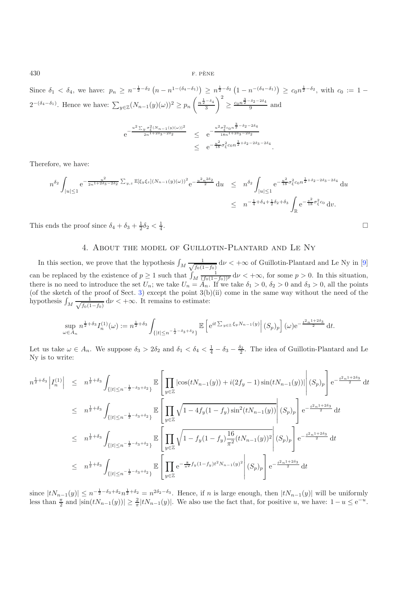Since  $\delta_1 < \delta_4$ , we have:  $p_n \geq n^{-\frac{1}{2}-\delta_2} (n - n^{1-(\delta_4-\delta_1)}) \geq n^{\frac{1}{2}-\delta_2} (1 - n^{-(\delta_4-\delta_1)}) \geq c_0 n^{\frac{1}{2}-\delta_2}$ , with  $c_0 := 1 2^{-(\delta_4-\delta_1)}$ . Hence we have:  $\sum_{y\in\mathbb{Z}}(N_{n-1}(y)(\omega))^2 \geq p_n\left(\frac{n^{\frac{1}{2}-\delta_4}}{3}\right)$ 3  $\Big)^2 \ge \frac{c_0 n^{\frac{3}{2}-\delta_2-2\delta_4}}{9}$  and  $e^{-\frac{u^2 \sum_y \sigma_{\xi}^2 (N_{n-1}(y)(\omega))^2}{2n^{1+2\delta_3-2\delta_2}}}$  $\frac{2}{2n^{1+2\delta_3-2\delta_2}} \leq e^{-\frac{u^2\sigma_{\xi}^2c_0n^{\frac{3}{2}-\delta_2-2\delta_4}}{18n^{1+2\delta_3-2\delta_2}}}$ <sup>18</sup>*n*1+2*δ*3−2*δ*<sup>2</sup>  $\leq e^{-\frac{u^2}{18}\sigma_{\xi}^2 c_0 n^{\frac{1}{2}+\delta_2-2\delta_3-2\delta_4}}$ 

Therefore, we have:

$$
n^{\delta_2} \int_{|u| \le 1} e^{-\frac{u^2}{2n^{1+2\delta_3 - 2\delta_2}}} \Sigma_{y,z} \mathbb{E}[\xi_y \xi_z] (N_{n-1}(y)(\omega))^2 e^{-\frac{u^2 n^{2\delta_2}}{2}} du \le n^{\delta_2} \int_{|u| \le 1} e^{-\frac{u^2}{18} \sigma_{\xi}^2 c_0 n^{\frac{1}{2} + \delta_2 - 2\delta_3 - 2\delta_4}} du
$$
  

$$
\le n^{-\frac{1}{4} + \delta_4 + \frac{1}{2}\delta_2 + \delta_3} \int_{\mathbb{R}} e^{-\frac{v^2}{18} \sigma_{\xi}^2 c_0} dv.
$$

.

 $\Box$ 

<span id="page-13-0"></span>This ends the proof since  $\delta_4 + \delta_3 + \frac{1}{2}\delta_2 < \frac{1}{4}$  $\frac{1}{4}$ .

### 4. About the model of Guillotin-Plantard and Le Ny

In this section, we prove that the hypothesis  $\int_M \frac{1}{\sqrt{f_0(1)}}$  $\frac{1}{f_0(1-f_0)}$  d $\nu < +\infty$  of Guillotin-Plantard and Le Ny in [\[9](#page-18-3)] can be replaced by the existence of  $p \ge 1$  such that  $\int_M \frac{1}{(f_0(1-f_0))^p} d\nu < +\infty$ , for some  $p > 0$ . In this situation, there is no need to introduce the set  $U_n$ ; we take  $U_n = A_n$ . If we take  $\delta_1 > 0$ ,  $\delta_2 > 0$  and  $\delta_3 > 0$ , all the points (of the sketch of the proof of Sect. [3\)](#page-3-0) except the point  $3(b)(ii)$  come in the same way without the need of the hypothesis  $\int_M \frac{1}{\sqrt{f_0(1)}}$  $\frac{1}{f_0(1-f_0)}$  d $\nu < +\infty$ . It remains to estimate:

$$
\sup_{\omega \in A_n} n^{\frac{1}{2} + \delta_3} I_n^{(1)}(\omega) := n^{\frac{1}{2} + \delta_3} \int_{\{|t| \le n^{-\frac{1}{2} - \delta_3 + \delta_2}\}} \mathbb{E} \left[ e^{it \sum_{y \in \mathbb{Z}} \xi_y N_{n-1}(y)} \Big| (S_p)_p \right](\omega) e^{-\frac{t^2 n^{1 + 2\delta_3}}{2}} \, \mathrm{d}t.
$$

Let us take  $\omega \in A_n$ . We suppose  $\delta_3 > 2\delta_2$  and  $\delta_1 < \delta_4 < \frac{1}{4} - \delta_3 - \frac{\delta_2}{2}$ . The idea of Guillotin-Plantard and Le Ny is to write:

$$
n^{\frac{1}{2}+\delta_3} \left| I_n^{(1)} \right| \leq n^{\frac{1}{2}+\delta_3} \int_{\{|t| \leq n^{-\frac{1}{2}-\delta_3+\delta_2}\}} \mathbb{E} \left[ \prod_{y \in \mathbb{Z}} |\cos(tN_{n-1}(y)) + i(2f_y - 1) \sin(tN_{n-1}(y))| \right] (S_p)_p \right] e^{-\frac{t^2 n^{1+2\delta_3}}{2}} dt
$$
  
\n
$$
\leq n^{\frac{1}{2}+\delta_3} \int_{\{|t| \leq n^{-\frac{1}{2}-\delta_3+\delta_2}\}} \mathbb{E} \left[ \prod_{y \in \mathbb{Z}} \sqrt{1 - 4f_y(1 - f_y) \sin^2(tN_{n-1}(y))} \right] (S_p)_p \right] e^{-\frac{t^2 n^{1+2\delta_3}}{2}} dt
$$
  
\n
$$
\leq n^{\frac{1}{2}+\delta_3} \int_{\{|t| \leq n^{-\frac{1}{2}-\delta_3+\delta_2}\}} \mathbb{E} \left[ \prod_{y \in \mathbb{Z}} \sqrt{1 - f_y(1 - f_y) \frac{16}{\pi^2} (tN_{n-1}(y))^2} \right] (S_p)_p \right] e^{-\frac{t^2 n^{1+2\delta_3}}{2}} dt
$$
  
\n
$$
\leq n^{\frac{1}{2}+\delta_3} \int_{\{|t| \leq n^{-\frac{1}{2}-\delta_3+\delta_2}\}} \mathbb{E} \left[ \prod_{y \in \mathbb{Z}} e^{-\frac{8}{\pi^2} f_y(1 - f_y)t^2 N_{n-1}(y)^2} \right] (S_p)_p \right] e^{-\frac{t^2 n^{1+2\delta_3}}{2}} dt
$$

since  $|tN_{n-1}(y)| \leq n^{-\frac{1}{2}-\delta_3+\delta_2} n^{\frac{1}{2}+\delta_2} = n^{2\delta_2-\delta_3}$ . Hence, if n is large enough, then  $|tN_{n-1}(y)|$  will be uniformly less than  $\frac{\pi}{2}$  and  $|\sin(tN_{n-1}(y))| \geq \frac{2}{\pi}|tN_{n-1}(y)|$ . We also use the fact that, for positive u, we have:  $1 - u \leq e^{-u}$ .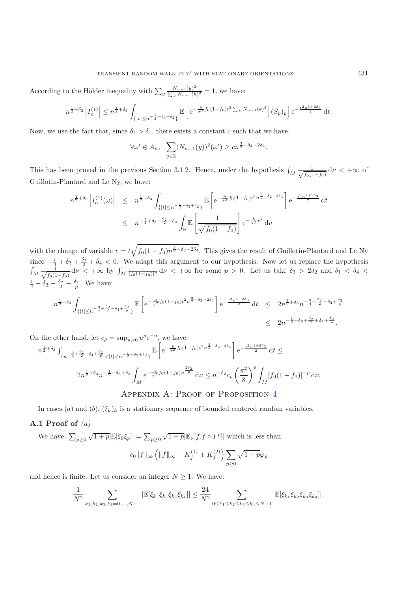According to the Hölder inequality with  $\sum_{y} \frac{N_{n-1}(y)^2}{\sum_{k} N_{n-1}(k)^2} = 1$ , we have:

$$
n^{\frac{1}{2}+\delta_3} \left| I_n^{(1)} \right| \le n^{\frac{1}{2}+\delta_3} \int_{\{|t| \le n^{-\frac{1}{2}-\delta_3+\delta_2}\}} \mathbb{E} \left[ e^{-\frac{8}{\pi^2} f_0(1-f_0)t^2 \sum_k N_{n-1}(k)^2} \right| (S_p)_p \right] e^{-\frac{t^2 n^{1+2\delta_3}}{2}} \, \mathrm{d}t.
$$

Now, we use the fact that, since  $\delta_4 > \delta_1$ , there exists a constant c such that we have:

$$
\forall \omega' \in A_n, \quad \sum_{y \in \mathbb{Z}} (N_{n-1}(y))^2(\omega') \ge c n^{\frac{3}{2} - \delta_2 - 2\delta_4}.
$$

This has been proved in the previous Section 3.1.2. Hence, under the hypothesis  $\int_M \frac{1}{\sqrt{f_0(1)}}$  $\frac{1}{f_0(1-f_0)}$  d $\nu < +\infty$  of Guillotin-Plantard and Le Ny, we have:

$$
n^{\frac{1}{2}+\delta_3} \left| I_n^{(1)}(\omega) \right| \leq n^{\frac{1}{2}+\delta_3} \int_{\{|t| \leq n^{-\frac{1}{2}-\delta_3+\delta_2}\}} \mathbb{E} \left[ e^{-\frac{8c}{\pi^2} f_0(1-f_0)t^2 n^{\frac{3}{2}-\delta_2-2\delta_4}} \right] e^{-\frac{t^2 n^{1+2\delta_3}}{2}} dt
$$
  
 
$$
\leq n^{-\frac{1}{4}+\delta_3+\frac{\delta_2}{2}+\delta_4} \int_{\mathbb{R}} \mathbb{E} \left[ \frac{1}{\sqrt{f_0(1-f_0)}} \right] e^{-\frac{8}{\pi^2}v^2} dv
$$

with the change of variable  $v = t\sqrt{f_0(1-f_0)n^{\frac{3}{2}-\delta_2-2\delta_4}}$ . This gives the result of Guillotin-Plantard and Le Ny since  $-\frac{1}{4} + \delta_3 + \frac{\delta_2}{2} + \delta_4 < 0$ . We adapt this argument to our hypothesis. Now let us replace the hypothesis  $\int_M \frac{1}{\sqrt{f_0(1)}}$  $\frac{1}{f_0(1-f_0)}$  d $\nu < +\infty$  by  $\int_M \frac{1}{[f_0(1-f_0)]^p}$  d $\nu < +\infty$  for some  $p > 0$ . Let us take  $\delta_3 > 2\delta_2$  and  $\delta_1 < \delta_4 <$  $\frac{1}{4} - \delta_3 - \frac{\delta_2}{2} - \frac{\delta_2}{p}$ . We have:

$$
n^{\frac{1}{2}+\delta_3} \int_{\{|t| \le n^{-\frac{3}{4}+\frac{\delta_2}{2}+\delta_4+\frac{\delta_2}{p}}\}} \mathbb{E}\left[e^{-\frac{8}{\pi^2}f_0(1-f_0)t^2 n^{\frac{3}{2}-\delta_2-2\delta_4}}\right] e^{-\frac{t^2 n^{1+2\delta_3}}{2}} \mathrm{d}t \le 2n^{\frac{1}{2}+\delta_3} n^{-\frac{3}{4}+\frac{\delta_2}{2}+\delta_4+\frac{\delta_2}{p}} \le 2n^{-\frac{1}{4}+\delta_3+\frac{\delta_2}{2}+\delta_4+\frac{\delta_2}{p}}.
$$

On the other hand, let  $c_p = \sup_{u>0} u^p e^{-u}$ , we have:

$$
n^{\frac{1}{2}+\delta_3} \int_{\{n^{-\frac{3}{4}+\frac{\delta_2}{2}+\delta_4+\frac{\delta_2}{p}} < |t| < n^{-\frac{1}{2}-\delta_3+\delta_2}\}} \mathbb{E}\left[e^{-\frac{8}{\pi^2}f_0(1-f_0)t^2 n^{\frac{3}{2}-\delta_2-2\delta_4}}\right] e^{-\frac{t^2 n^{1+2\delta_3}}{2}} \mathrm{d}t \leq
$$
  

$$
2n^{\frac{1}{2}+\delta_3} n^{-\frac{1}{2}-\delta_3+\delta_2} \int_M e^{-\frac{8}{\pi^2}f_0(1-f_0)n^{\frac{2\delta_2}{p}}}\mathrm{d}\nu \leq n^{-\delta_2} c_p \left(\frac{\pi^2}{8}\right)^p \int_M [f_0(1-f_0)]^{-p} \mathrm{d}\nu.
$$

## APPENDIX A: PROOF OF PROPOSITION [4](#page-2-0)

In cases (a) and (b),  $(\xi_k)_k$  is a stationary sequence of bounded centered random variables.

### **A.1 Proof of** *(a)*

We have:  $\sum_{p\geq 0} \sqrt{1+p} |\mathbb{E}[\xi_0 \xi_p]| = \sum_{p\geq 0} \sqrt{1+p} |\mathbb{E}_{\nu}[f, f \circ T^p]|$  which is less than:

$$
c_0\|f\|_{\infty} \left( \|f\|_{\infty} + K_f^{(1)} + K_f^{(2)} \right) \sum_{p \ge 0} \sqrt{1 + p \varphi_p}
$$

and hence is finite. Let us consider an integer  $N \geq 1$ . We have:

$$
\frac{1}{N^2} \sum_{k_1,k_2,k_3,k_4=0,\ldots,N-1} |\mathbb{E}[\xi_{k_1}\xi_{k_2}\xi_{k_3}\xi_{k_4}]| \leq \frac{24}{N^2} \sum_{0 \leq k_1 \leq k_2 \leq k_3 \leq k_4 \leq N-1} |\mathbb{E}[\xi_{k_1}\xi_{k_2}\xi_{k_3}\xi_{k_4}]|.
$$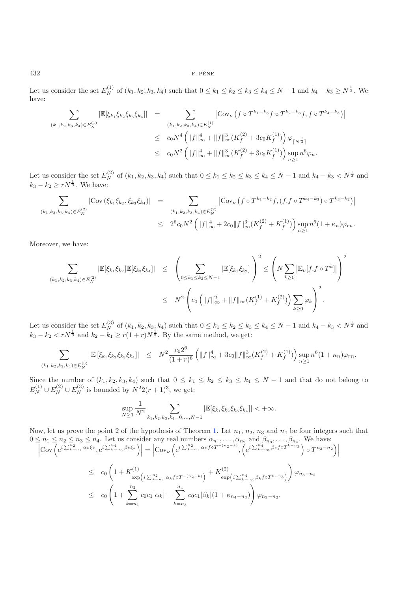Let us consider the set  $E_N^{(1)}$  of  $(k_1, k_2, k_3, k_4)$  such that  $0 \le k_1 \le k_2 \le k_3 \le k_4 \le N-1$  and  $k_4 - k_3 \ge N^{\frac{1}{3}}$ . We have:

$$
\sum_{(k_1,k_2,k_3,k_4)\in E_N^{(1)}} |\mathbb{E}[\xi_{k_1}\xi_{k_2}\xi_{k_3}\xi_{k_4}]| = \sum_{\substack{(k_1,k_2,k_3,k_4)\in E_N^{(1)}\\ \leq c_0 N^4 \left( ||f||_\infty^4 + ||f||_\infty^3 (K_f^{(2)} + 3c_0K_f^{(1)}) \right) \varphi_{\lceil N^{\frac{1}{3}} \rceil} \\ \leq c_0 N^2 \left( ||f||_\infty^4 + ||f||_\infty^3 (K_f^{(2)} + 3c_0K_f^{(1)}) \right) \sup_{n\geq 1} n^6 \varphi_n.
$$

Let us consider the set  $E_N^{(2)}$  of  $(k_1, k_2, k_3, k_4)$  such that  $0 \le k_1 \le k_2 \le k_3 \le k_4 \le N-1$  and  $k_4 - k_3 < N^{\frac{1}{3}}$  and  $k_3 - k_2 \geq rN^{\frac{1}{3}}$ . We have:

$$
\sum_{(k_1,k_2,k_3,k_4)\in E_N^{(2)}} |\text{Cov}(\xi_{k_1}\xi_{k_2},\xi_{k_3}\xi_{k_4})| = \sum_{(k_1,k_2,k_3,k_4)\in E_N^{(2)}} |\text{Cov}_{\nu}(f\circ T^{k_1-k_2}f,(f.f\circ T^{k_4-k_3})\circ T^{k_3-k_2})|
$$
  

$$
\leq 2^6 c_0 N^2 \left( \|f\|_{\infty}^4 + 2c_0 \|f\|_{\infty}^3 (K_f^{(2)} + K_f^{(1)}) \right) \sup_{n\geq 1} n^6 (1+\kappa_n)\varphi_{rn}.
$$

Moreover, we have:

$$
\sum_{(k_1,k_2,k_3,k_4)\in E_N^{(2)}} |\mathbb{E}[\xi_{k_1}\xi_{k_2}]\mathbb{E}[\xi_{k_3}\xi_{k_4}]| \leq \left(\sum_{0\leq k_1\leq k_2\leq N-1} |\mathbb{E}[\xi_{k_1}\xi_{k_2}]|\right)^2 \leq \left(N \sum_{k\geq 0} |\mathbb{E}_{\nu}[f.f \circ T^k]|\right)^2
$$
  

$$
\leq N^2 \left(c_0 \left(\|f\|_{\infty}^2 + \|f\|_{\infty}(K_f^{(1)} + K_f^{(2)})\right) \sum_{k\geq 0} \varphi_k\right)^2.
$$

Let us consider the set  $E_N^{(3)}$  of  $(k_1, k_2, k_3, k_4)$  such that  $0 \le k_1 \le k_2 \le k_3 \le k_4 \le N-1$  and  $k_4 - k_3 < N^{\frac{1}{3}}$  and  $k_3 - k_2 < rN^{\frac{1}{3}}$  and  $k_2 - k_1 \ge r(1+r)N^{\frac{1}{3}}$ . By the same method, we get:

$$
\sum_{(k_1,k_2,k_3,k_4)\in E_N^{(3)}} \left| \mathbb{E}\left[\xi_{k_1}\xi_{k_2}\xi_{k_3}\xi_{k_4}\right] \right| \leq N^2 \frac{c_0 2^6}{(1+r)^6} \left( \|f\|_{\infty}^4 + 3c_0 \|f\|_{\infty}^3 (K_f^{(2)} + K_f^{(1)}) \right) \sup_{n\geq 1} n^6 (1+\kappa_n)\varphi_{rn}.
$$

Since the number of  $(k_1, k_2, k_3, k_4)$  such that  $0 \le k_1 \le k_2 \le k_3 \le k_4 \le N-1$  and that do not belong to  $E_N^{(1)} \cup E_N^{(2)} \cup E_N^{(3)}$  is bounded by  $N^2 2(r+1)^3$ , we get:

$$
\sup_{N\geq 1} \frac{1}{N^2} \sum_{k_1,k_2,k_3,k_4=0,\ldots,N-1} |\mathbb{E}[\xi_{k_1} \xi_{k_2} \xi_{k_3} \xi_{k_4}]| < +\infty.
$$

Now, let us prove the point 2 of the hypothesis of Theorem [1.](#page-1-1) Let  $n_1$ ,  $n_2$ ,  $n_3$  and  $n_4$  be four integers such that  $0 \leq n_1 \leq n_2 \leq n_3 \leq n_4$ . Let us consider any real numbers  $\alpha_{n_1}, \ldots, \alpha_{n_2}$  and  $\beta_{n_3}, \ldots, \beta_{n_4}$ . We have:<br> $\left| \text{Cov}\left(e^{i\sum_{k=n_1}^{n_2} \alpha_k \xi_k}, e^{i\sum_{k=n_3}^{n_4} \beta_k \xi_k}\right) \right| = \left| \text{Cov}_{\nu}\left(e^{i\sum_{k=n_1}^{n_2} \alpha_k f \circ T^{-(n_$ 

 $\overline{\phantom{a}}$  $\mid$ 

$$
\begin{split}\n\left| \text{Cov}\left(e^{i\sum_{k=n_{1}}^{n_{2}}\alpha_{k}\xi_{k}},e^{i\sum_{k=n_{3}}^{n_{4}}\beta_{k}\xi_{k}}\right) \right| &= \left| \text{Cov}_{\nu}\left(e^{i\sum_{k=n_{1}}^{n_{2}}\alpha_{k}f\circ T^{-(n_{2}-k)}},\left(e^{i\sum_{k=n_{3}}^{n_{4}}\beta_{k}f\circ T^{k-n_{3}}}\right)\circ T^{n_{3}-n_{2}}\right) \right| \\
&\leq c_{0}\left(1+K_{\exp(i\sum_{k=n_{1}}^{n_{2}}\alpha_{k}f\circ T^{-(n_{2}-k)})}+K_{\exp(i\sum_{k=n_{3}}^{n_{4}}\beta_{k}f\circ T^{k-n_{3}}})\right)\varphi_{n_{3}-n_{2}} \\
&\leq c_{0}\left(1+\sum_{k=n_{1}}^{n_{2}}c_{0}c_{1}|\alpha_{k}|+\sum_{k=n_{3}}^{n_{4}}c_{0}c_{1}|\beta_{k}|(1+\kappa_{n_{4}-n_{3}})\right)\varphi_{n_{3}-n_{2}}.\n\end{split}
$$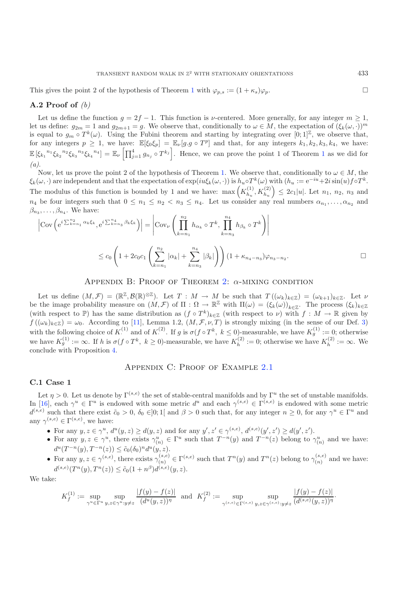This gives the point 2 of the hypothesis of Theorem [1](#page-1-1) with  $\varphi_{p,s} := (1 + \kappa_s)\varphi_p$ .

#### **A.2 Proof of** *(b)*

Let us define the function  $g = 2f - 1$ . This function is v-centered. More generally, for any integer  $m \ge 1$ , let us define:  $g_{2m} = 1$  and  $g_{2m+1} = g$ . We observe that, conditionally to  $\omega \in M$ , the expectation of  $(\xi_k(\omega, \cdot))^m$ is equal to  $g_m \circ T^k(\omega)$ . Using the Fubini theorem and starting by integrating over  $[0,1]^{\mathbb{Z}}$ , we observe that, for any integers  $p \geq 1$ , we have:  $\mathbb{E}[\xi_0 \xi_p] = \mathbb{E}_{\nu}[g.g \circ T^p]$  and that, for any integers  $k_1, k_2, k_3, k_4$ , we have:  $\mathbb{E} \left[\xi_{k_1}^{n_1} \xi_{k_2}^{n_2} \xi_{k_3}^{n_3} \xi_{k_4}^{n_4}\right] = \mathbb{E}_{\nu} \left[\prod_{j=1}^4 g_{n_j} \circ T^{k_j}\right]$  $\mathbb{E} \left[\xi_{k_1}^{n_1} \xi_{k_2}^{n_2} \xi_{k_3}^{n_3} \xi_{k_4}^{n_4}\right] = \mathbb{E}_{\nu} \left[\prod_{j=1}^4 g_{n_j} \circ T^{k_j}\right]$  $\mathbb{E} \left[\xi_{k_1}^{n_1} \xi_{k_2}^{n_2} \xi_{k_3}^{n_3} \xi_{k_4}^{n_4}\right] = \mathbb{E}_{\nu} \left[\prod_{j=1}^4 g_{n_j} \circ T^{k_j}\right]$ . Hence, we can prove the point 1 of Theorem 1 as we did for *(a)*.

Now, let us prove the point 2 of the hypothesis of Theorem [1.](#page-1-1) We observe that, conditionally to  $\omega \in M$ , the  $\xi_k(\omega, \cdot)$  are independent and that the expectation of  $\exp(iu\xi_k(\omega, \cdot))$  is  $h_u \circ T^k(\omega)$  with  $(h_u := e^{-iu} + 2i\sin(u)f \circ T^k$ . The modulus of this function is bounded by 1 and we have:  $\max\left(K_{h_u}^{(1)}, K_{h_u}^{(2)}\right) \leq 2c_1|u|$ . Let  $n_1, n_2, n_3$  and  $n_4$  be four integers such that  $0 \leq n_1 \leq n_2 < n_3 \leq n_4$ . Let us consider any real numbers  $\alpha_{n_1}, \ldots, \alpha_{n_2}$  and  $\beta_{n_3}, \ldots, \beta_{n_4}$ . We have:

$$
\left| \text{Cov}\left(e^{i\sum_{k=n_1}^{n_2} \alpha_k \xi_k}, e^{i\sum_{k=n_3}^{n_4} \beta_k \xi_k}\right) \right| = \left| \text{Cov}_{\nu} \left( \prod_{k=n_1}^{n_2} h_{\alpha_k} \circ T^k, \prod_{k=n_3}^{n_4} h_{\beta_k} \circ T^k \right) \right|
$$
  

$$
\leq c_0 \left( 1 + 2c_0 c_1 \left( \sum_{k=n_1}^{n_2} |\alpha_k| + \sum_{k=n_3}^{n_4} |\beta_k| \right) \right) (1 + \kappa_{n_4 - n_3}) \varphi_{n_3 - n_2}.
$$

### APPENDIX B: PROOF OF THEOREM [2:](#page-1-2)  $\alpha$ -MIXING CONDITION

Let us define  $(M,\mathcal{F})=(\mathbb{R}^{\mathbb{Z}},\mathcal{B}(\mathbb{R})^{\otimes\mathbb{Z}})$ . Let  $T : M \to M$  be such that  $T((\omega_k)_{k\in\mathbb{Z}})=(\omega_{k+1})_{k\in\mathbb{Z}}$ . Let  $\nu$ be the image probability measure on  $(M,\mathcal{F})$  of  $\Pi: \Omega \to \mathbb{R}^{\mathbb{Z}}$  with  $\Pi(\omega)=(\xi_k(\omega))_{k\in\mathbb{Z}}$ . The process  $(\xi_k)_{k\in\mathbb{Z}}$ (with respect to P) has the same distribution as  $(f \circ T^k)_{k \in \mathbb{Z}}$  (with respect to  $\nu$ ) with  $f : M \to \mathbb{R}$  given by  $f((\omega_k)_{k\in\mathbb{Z}}) = \omega_0$ . According to [\[11](#page-18-9)], Lemma 1.2,  $(M, \mathcal{F}, \nu, T)$  is strongly mixing (in the sense of our Def. [3\)](#page-2-1) with the following choice of  $K^{(1)}$  and of  $K^{(2)}$ . If g is  $\sigma(f \circ T^k, k \leq 0)$ -measurable, we have  $K_g^{(1)} := 0$ ; otherwise we have  $K_g^{(1)} := \infty$ . If h is  $\sigma(f \circ T^k, k \ge 0)$ -measurable, we have  $K_h^{(2)} := 0$ ; otherwise we have  $K_h^{(2)} := \infty$ . We conclude with Proposition [4.](#page-2-0)

# APPENDIX C: PROOF OF EXAMPLE [2.1](#page-2-2)

#### **C.1 Case 1**

Let  $\eta > 0$ . Let us denote by  $\Gamma^{(s,e)}$  the set of stable-central manifolds and by  $\Gamma^u$  the set of unstable manifolds. In [\[16](#page-19-0)], each  $\gamma^u \in \Gamma^u$  is endowed with some metric  $d^u$  and each  $\gamma^{(s,e)} \in \Gamma^{(s,e)}$  is endowed with some metric  $d^{(s,e)}$  such that there exist  $\tilde{c}_0 > 0$ ,  $\delta_0 \in ]0;1[$  and  $\beta > 0$  such that, for any integer  $n \geq 0$ , for any  $\gamma^u \in \Gamma^u$  and any  $\gamma^{(s,e)} \in \Gamma^{(s,e)}$ , we have:

- For any  $y, z \in \gamma^u, d^u(y, z) \ge d(y, z)$  and for any  $y', z' \in \gamma^{(s,e)}, d^{(s,e)}(y', z') \ge d(y', z').$
- For any  $y, z \in \gamma^u$ , there exists  $\gamma_{(n)}^u \in \Gamma^u$  such that  $T^{-n}(y)$  and  $T^{-n}(z)$  belong to  $\gamma_{(n)}^u$  and we have:  $d^{u}(T^{-n}(y), T^{-n}(z)) \leq \tilde{c}_{0}(\delta_{0})^{n} d^{u}(y,z).$
- For any  $y, z \in \gamma^{(s,e)}$ , there exists  $\gamma^{(s,e)}_{(n)} \in \Gamma^{(s,e)}$  such that  $T^n(y)$  and  $T^n(z)$  belong to  $\gamma^{(s,e)}_{(n)}$  and we have:  $d^{(s,e)}(T^n(y),T^n(z)) \leq \tilde{c}_0(1+n^{\beta})d^{(s,e)}(y,z).$

We take:

$$
K_f^{(1)} := \sup_{\gamma^u \in \Gamma^u} \sup_{y,z \in \gamma^u : y \neq z} \frac{|f(y) - f(z)|}{(d^u(y,z))^\eta} \; \text{ and } \; K_f^{(2)} := \sup_{\gamma^{(s,e)} \in \Gamma^{(s,e)}} \sup_{y,z \in \gamma^{(s,e)} : y \neq z} \frac{|f(y) - f(z)|}{(d^{(s,e)}(y,z))^\eta}.
$$

 $\Box$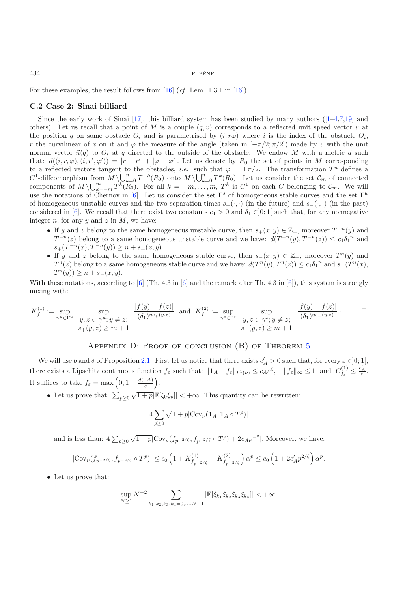For these examples, the result follows from [\[16](#page-19-0)] (*cf.* Lem. 1.3.1 in [\[16\]](#page-19-0)).

#### **C.2 Case 2: Sinai billiard**

Since the early work of Sinai  $[17]$ , this billiard system has been studied by many authors  $([1-4,7,19]$  $([1-4,7,19]$  $([1-4,7,19]$  $([1-4,7,19]$  $([1-4,7,19]$  and others). Let us recall that a point of M is a couple  $(q, v)$  corresponds to a reflected unit speed vector v at the position q on some obstacle  $O_i$  and is parametrised by  $(i, r\varphi)$  where i is the index of the obstacle  $O_i$ , r the curvilinear of x on it and  $\varphi$  the measure of the angle (taken in  $[-\pi/2;\pi/2]$ ) made by v with the unit normal vector  $\vec{n}(q)$  to  $O_i$  at q directed to the outside of the obstacle. We endow M with a metric d such that:  $d((i, r, \varphi), (i, r', \varphi')) = |r - r'| + |\varphi - \varphi'|$ . Let us denote by  $R_0$  the set of points in M corresponding to a reflected vectors tangent to the obstacles, *i.e.* such that  $\varphi = \pm \pi/2$ . The transformation  $T^n$  defines a  $C^1$ -diffeomorphism from  $M \setminus \bigcup_{k=0}^n T^{-k}(R_0)$  onto  $M \setminus \bigcup_{k=0}^n T^k(R_0)$ . Let us consider the set  $\mathcal{C}_m$  of connected components of  $M \setminus \bigcup_{k=-m}^{m} T^{k}(R_{0})$ . For all  $k = -m, \ldots, m, T^{k}$  is  $C^{1}$  on each C belonging to  $\mathcal{C}_{m}$ . We will use the notations of Chernov in [\[6](#page-18-4)]. Let us consider the set  $\Gamma^s$  of homogeneous stable curves and the set  $\Gamma^u$ of homogeneous unstable curves and the two separation times  $s_{+}(\cdot, \cdot)$  (in the future) and  $s_{-}(\cdot, \cdot)$  (in the past) considered in [\[6\]](#page-18-4). We recall that there exist two constants  $c_1 > 0$  and  $\delta_1 \in ]0;1[$  such that, for any nonnegative integer  $n$ , for any  $y$  and  $z$  in  $M$ , we have:

- If y and z belong to the same homogeneous unstable curve, then  $s_+(x, y) \in \mathbb{Z}_+$ , moreover  $T^{-n}(y)$  and  $T^{-n}(z)$  belong to a same homogeneous unstable curve and we have:  $d(T^{-n}(y), T^{-n}(z)) \leq c_1 \delta_1^{-n}$  and  $s_{+}(T^{-n}(x), T^{-n}(y)) \geq n + s_{+}(x, y).$
- If y and z belong to the same homogeneous stable curve, then  $s_-(x, y) \in \mathbb{Z}_+$ , moreover  $T^n(y)$  and  $T^n(z)$  belong to a same homogeneous stable curve and we have:  $d(T^n(y), T^n(z)) \le c_1 \delta_1^{-n}$  and  $s_-(T^n(x), T^n(z))$  $T^n(y)$ ) ≥  $n + s_-(x, y)$ .

With these notations, according to [\[6](#page-18-4)] (Th. 4.3 in [\[6\]](#page-18-4) and the remark after Th. 4.3 in [6]), this system is strongly mixing with:

$$
K_f^{(1)} := \sup_{\gamma^u \in \Gamma^u} \sup_{\substack{y, z \in \gamma^u; y \neq z; \\ s_+(y, z) \ge m + 1}} \frac{|f(y) - f(z)|}{(\delta_1)^{ns_+(y, z)}} \text{ and } K_f^{(2)} := \sup_{\gamma^s \in \Gamma^s} \sup_{\substack{y, z \in \gamma^s; y \neq z; \\ s_-(y, z) \ge m + 1}} \frac{|f(y) - f(z)|}{(\delta_1)^{ns_-(y, z)}} \cdot \square
$$

# APPENDIX D: PROOF OF CONCLUSION (B) OF THEOREM [5](#page-3-1)

We will use b and  $\delta$  of Proposition [2.1.](#page-2-2) First let us notice that there exists  $c'_A > 0$  such that, for every  $\varepsilon \in ]0;1[$ , there exists a Lipschitz continuous function  $f_{\varepsilon}$  such that:  $||\mathbf{1}_A - f_{\varepsilon}||_{L^1(\nu)} \leq c_A \varepsilon^{\zeta}$ ,  $||f_{\varepsilon}||_{\infty} \leq 1$  and  $C_{f_{\varepsilon}}^{(1)} \leq \frac{c'_A}{\varepsilon}$ . It suffices to take  $f_{\varepsilon} = \max\left(0, 1 - \frac{d(\cdot, A)}{\varepsilon}\right)$ .

• Let us prove that:  $\sum_{p\geq 0}^{\infty} \sqrt{1+p} |\mathbb{E}[\xi_0\xi_p]| < +\infty$ . This quantity can be rewritten:

$$
4\sum_{p\geq 0}\sqrt{1+p}\big|\text{Cov}_{\nu}(\mathbf{1}_A,\mathbf{1}_A\circ T^p)\big|
$$

and is less than:  $4\sum_{p\geq 0} \sqrt{1+p}|\text{Cov}_{\nu}(f_{p^{-2/\zeta}}, f_{p^{-2/\zeta}} \circ T^p) + 2c_Ap^{-2}|$ . Moreover, we have:

$$
|\text{Cov}_{\nu}(f_{p^{-2/\zeta}},f_{p^{-2/\zeta}}\circ T^{p})|\leq c_{0}\left(1+K_{f_{p^{-2/\zeta}}}^{(1)}+K_{f_{p^{-2/\zeta}}}^{(2)}\right)\alpha^{p}\leq c_{0}\left(1+2c_A'p^{2/\zeta}\right)\alpha^{p}.
$$

• Let us prove that:

$$
\sup_{N\geq 1} N^{-2} \sum_{k_1,k_2,k_3,k_4=0,\ldots,N-1} |\mathbb{E}[\xi_{k_1}\xi_{k_2}\xi_{k_3}\xi_{k_4}]| < +\infty.
$$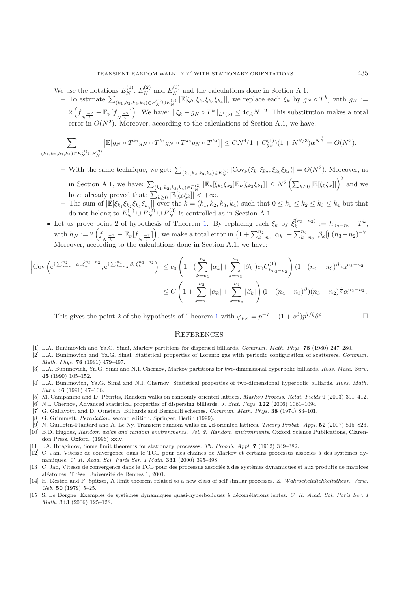We use the notations  $E_N^{(1)}$ ,  $E_N^{(2)}$  and  $E_N^{(3)}$  and the calculations done in Section A.1.

 $-$  To estimate  $\sum_{(k_1,k_2,k_3,k_4)\in E_N^{(1)}\cup E_N^{(3)}}|\mathbb{E}[\xi_{k_1}\xi_{k_2}\xi_{k_3}\xi_{k_4}]|$ , we replace each  $\xi_k$  by  $g_N \circ T^k$ , with  $g_N :=$  $2\left(f_{\overline{N}}\frac{-2}{\zeta}-\mathbb{E}_{\nu}[f_{\overline{N}}\frac{-2}{\zeta}]\right)$ . We have:  $\|\xi_k-g_N\circ T^k\|_{L^1(\nu)} \leq 4c_A N^{-2}$ . This substitution makes a total error in  $O(N^2)$ . Moreover, according to the calculations of Section A.1, we have:

$$
\sum_{(k_1,k_2,k_3,k_4)\in E_N^{(1)}\cup E_N^{(3)}} \left| {\mathbb E}[g_N\circ T^{k_1}g_N\circ T^{k_2}g_N\circ T^{k_3}g_N\circ T^{k_4}]\right| \le CN^4(1+C_{g_N}^{(1)})(1+N^{\beta/3})\alpha^{N^{\frac{1}{3}}}=O(N^2).
$$

- $-$  With the same technique, we get:  $\sum_{(k_1,k_2,k_3,k_4) \in E_N^{(2)}} |\text{Cov}_{\nu}(\xi_{k_1} \xi_{k_2}, \xi_{k_3} \xi_{k_4})| = O(N^2)$ . Moreover, as in Section A.1, we have:  $\sum_{(k_1,k_2,k_3,k_4)\in E_N^{(2)}} |\mathbb{E}_{\nu}[\xi_{k_1}\xi_{k_2}]\mathbb{E}_{\nu}[\xi_{k_3}\xi_{k_4}]| \leq N^2 \left(\sum_{k\geq 0} |\mathbb{E}[\xi_0\xi_k]|\right)^2$  and we have already proved that:  $\sum_{k\geq 0} |\mathbb{E}[\xi_0 \xi_k]| < +\infty$ .
- **−** The sum of  $\mathbb{E}[\xi_{k_1}\xi_{k_2}\xi_{k_3}\xi_{k_4}]$  over the  $k = (k_1, k_2, k_3, k_4)$  such that  $0 \leq k_1 \leq k_2 \leq k_3 \leq k_4$  but that do not belong to  $E_N^{(1)} \cup E_N^{(2)} \cup E_N^{(3)}$  is controlled as in Section A.1.
- Let us prove point 2 of hypothesis of Theorem [1.](#page-1-1) By replacing each  $\xi_k$  by  $\hat{\xi}_k^{(n_3-n_2)} := h_{n_3-n_2} \circ T^k$ , with  $h_N := 2\left(f_{\overline{N}}\frac{-\tau}{\zeta} - \mathbb{E}_{\nu}[f_{\overline{N}}\frac{-\tau}{\zeta}]\right)$ , we make a total error in  $\left(1 + \sum_{k=n_1}^{n_2} |\alpha_k| + \sum_{k=n_3}^{n_4} |\beta_k|\right)(n_3 - n_2)^{-7}$ . Moreover, according to the calculations done in Section A.1, we have:

$$
\left| \text{Cov}\left(e^{i\sum_{k=n_1}^{n_2} \alpha_k \hat{\xi}_k^{n_3-n_2}}, e^{i\sum_{k=n_3}^{n_4} \beta_k \hat{\xi}_k^{n_3-n_2}}\right) \right| \leq c_0 \left(1 + \left(\sum_{k=n_1}^{n_2} |\alpha_k| + \sum_{k=n_3}^{n_4} |\beta_k| \right) c_0 C_{h_{n_3-n_2}}^{(1)}\right) (1 + (n_4 - n_3)^{\beta}) \alpha^{n_3-n_2}
$$
  

$$
\leq C \left(1 + \sum_{k=n_1}^{n_2} |\alpha_k| + \sum_{k=n_3}^{n_4} |\beta_k| \right) (1 + (n_4 - n_3)^{\beta}) (n_3 - n_2)^{\frac{7}{5}} \alpha^{n_3-n_2}.
$$

This gives the point 2 of the hypothesis of Theorem [1](#page-1-1) with  $\varphi_{p,s} = p^{-7} + (1 + s^{\beta})p^{7/\zeta} \delta^p$ .

#### **REFERENCES**

- [1] L.A. Bunimovich and Ya.G. Sinai, Markov partitions for dispersed billiards. *Commun. Math. Phys.* **78** (1980) 247–280.
- <span id="page-18-10"></span>[2] L.A. Bunimovich and Ya.G. Sinai, Statistical properties of Lorentz gas with periodic configuration of scatterers. *Commun. Math. Phys.* **78** (1981) 479–497.
- [3] L.A. Bunimovich, Ya.G. Sinai and N.I. Chernov, Markov partitions for two-dimensional hyperbolic billiards. *Russ. Math. Surv.* **45** (1990) 105–152.
- <span id="page-18-11"></span>[4] L.A. Bunimovich, Ya.G. Sinai and N.I. Chernov, Statistical properties of two-dimensional hyperbolic billiards. *Russ. Math. Surv.* **46** (1991) 47–106.
- [5] M. Campanino and D. P´etritis, Random walks on randomly oriented lattices. *Markov Process. Relat. Fields* **9** (2003) 391–412.
- <span id="page-18-2"></span>[6] N.I. Chernov, Advanced statistical properties of dispersing billiards. *J. Stat. Phys.* **122** (2006) 1061–1094.
- <span id="page-18-12"></span><span id="page-18-4"></span>[7] G. Gallavotti and D. Ornstein, Billiards and Bernoulli schemes. *Commun. Math. Phys.* **38** (1974) 83–101.
- [8] G. Grimmett, *Percolation*, second edition. Springer, Berlin (1999).
- [9] N. Guillotin-Plantard and A. Le Ny, Transient random walks on 2d-oriented lattices. *Theory Probab. Appl.* **52** (2007) 815–826.
- <span id="page-18-3"></span><span id="page-18-1"></span><span id="page-18-0"></span>[10] B.D. Hughes, *Random walks and random environments. Vol. 2: Random environments*. Oxford Science Publications, Clarendon Press, Oxford. (1996) xxiv.
- [11] I.A. Ibragimov, Some limit theorems for stationary processes. *Th. Probab. Appl.* **7** (1962) 349–382.
- <span id="page-18-9"></span><span id="page-18-6"></span>[12] C. Jan, Vitesse de convergence dans le TCL pour des chaînes de Markov et certains processus associés à des systèmes dynamiques. *C. R. Acad. Sci. Paris Ser. I Math.* **331** (2000) 395–398.
- <span id="page-18-7"></span>[13] C. Jan, Vitesse de convergence dans le TCL pour des processus associés à des systèmes dynamiques et aux produits de matrices aléatoires. Thèse, Université de Rennes 1, 2001.
- <span id="page-18-5"></span>[14] H. Kesten and F. Spitzer, A limit theorem related to a new class of self similar processes. *Z. Wahrscheinlichkeitstheor. Verw. Geb.* **50** (1979) 5–25.
- <span id="page-18-8"></span>[15] S. Le Borgne, Exemples de systèmes dynamiques quasi-hyperboliques à décorrélations lentes. *C. R. Acad. Sci. Paris Ser. I Math.* **343** (2006) 125–128.